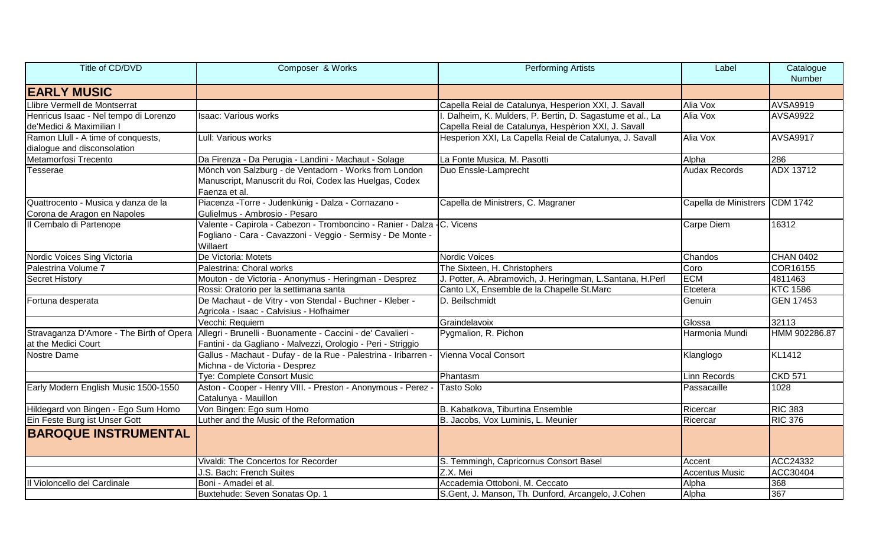| Title of CD/DVD                          | Composer & Works                                                                                  | <b>Performing Artists</b>                                 | Label                          | Catalogue<br>Number |
|------------------------------------------|---------------------------------------------------------------------------------------------------|-----------------------------------------------------------|--------------------------------|---------------------|
| <b>EARLY MUSIC</b>                       |                                                                                                   |                                                           |                                |                     |
| Llibre Vermell de Montserrat             |                                                                                                   | Capella Reial de Catalunya, Hesperion XXI, J. Savall      | Alia Vox                       | <b>AVSA9919</b>     |
| Henricus Isaac - Nel tempo di Lorenzo    | <b>Isaac: Various works</b>                                                                       | Dalheim, K. Mulders, P. Bertin, D. Sagastume et al., La   | Alia Vox                       | <b>AVSA9922</b>     |
| de'Medici & Maximilian I                 |                                                                                                   | Capella Reial de Catalunya, Hespèrion XXI, J. Savall      |                                |                     |
| Ramon Llull - A time of conquests,       | Lull: Various works                                                                               | Hesperion XXI, La Capella Reial de Catalunya, J. Savall   | Alia Vox                       | <b>AVSA9917</b>     |
| dialogue and disconsolation              |                                                                                                   |                                                           |                                |                     |
| Metamorfosi Trecento                     | Da Firenza - Da Perugia - Landini - Machaut - Solage                                              | La Fonte Musica, M. Pasotti                               | Alpha                          | 286                 |
| Tesserae                                 | Mönch von Salzburg - de Ventadorn - Works from London                                             | Duo Enssle-Lamprecht                                      | <b>Audax Records</b>           | <b>ADX 13712</b>    |
|                                          | Manuscript, Manuscrit du Roi, Codex las Huelgas, Codex<br>Faenza et al.                           |                                                           |                                |                     |
| Quattrocento - Musica y danza de la      | Piacenza - Torre - Judenkünig - Dalza - Cornazano -                                               | Capella de Ministrers, C. Magraner                        | Capella de Ministrers CDM 1742 |                     |
| Corona de Aragon en Napoles              | Gulielmus - Ambrosio - Pesaro                                                                     |                                                           |                                |                     |
| Il Cembalo di Partenope                  | Valente - Capirola - Cabezon - Tromboncino - Ranier - Dalza - C. Vicens                           |                                                           | Carpe Diem                     | 16312               |
|                                          | Fogliano - Cara - Cavazzoni - Veggio - Sermisy - De Monte -<br>Willaert                           |                                                           |                                |                     |
| Nordic Voices Sing Victoria              | De Victoria: Motets                                                                               | Nordic Voices                                             | Chandos                        | <b>CHAN 0402</b>    |
| Palestrina Volume 7                      | Palestrina: Choral works                                                                          | The Sixteen, H. Christophers                              | Coro                           | COR16155            |
| Secret History                           | Mouton - de Victoria - Anonymus - Heringman - Desprez                                             | J. Potter, A. Abramovich, J. Heringman, L.Santana, H.Perl | <b>ECM</b>                     | 4811463             |
|                                          | Rossi: Oratorio per la settimana santa                                                            | Canto LX, Ensemble de la Chapelle St.Marc                 | Etcetera                       | <b>KTC 1586</b>     |
| Fortuna desperata                        | De Machaut - de Vitry - von Stendal - Buchner - Kleber -                                          | D. Beilschmidt                                            | Genuin                         | <b>GEN 17453</b>    |
|                                          | Agricola - Isaac - Calvisius - Hofhaimer                                                          |                                                           |                                |                     |
|                                          | Vecchi: Requiem                                                                                   | Graindelavoix                                             | Glossa                         | 32113               |
| Stravaganza D'Amore - The Birth of Opera | Allegri - Brunelli - Buonamente - Caccini - de' Cavalieri -                                       | Pygmalion, R. Pichon                                      | Harmonia Mundi                 | HMM 902286.87       |
| at the Medici Court                      | Fantini - da Gagliano - Malvezzi, Orologio - Peri - Striggio                                      |                                                           |                                |                     |
| Nostre Dame                              | Gallus - Machaut - Dufay - de la Rue - Palestrina - Iribarren -<br>Michna - de Victoria - Desprez | Vienna Vocal Consort                                      | Klanglogo                      | <b>KL1412</b>       |
|                                          | Tye: Complete Consort Music                                                                       | Phantasm                                                  | Linn Records                   | <b>CKD 571</b>      |
| Early Modern English Music 1500-1550     | Aston - Cooper - Henry VIII. - Preston - Anonymous - Perez -<br>Catalunya - Mauillon              | <b>Tasto Solo</b>                                         | Passacaille                    | 1028                |
| Hildegard von Bingen - Ego Sum Homo      | Von Bingen: Ego sum Homo                                                                          | B. Kabatkova, Tiburtina Ensemble                          | Ricercar                       | <b>RIC 383</b>      |
| Ein Feste Burg ist Unser Gott            | Luther and the Music of the Reformation                                                           | B. Jacobs, Vox Luminis, L. Meunier                        | Ricercar                       | <b>RIC 376</b>      |
| <b>BAROQUE INSTRUMENTAL</b>              |                                                                                                   |                                                           |                                |                     |
|                                          | Vivaldi: The Concertos for Recorder                                                               | S. Temmingh, Capricornus Consort Basel                    | Accent                         | ACC24332            |
|                                          | J.S. Bach: French Suites                                                                          | Z.X. Mei                                                  | <b>Accentus Music</b>          | ACC30404            |
| Il Violoncello del Cardinale             | Boni - Amadei et al.                                                                              | Accademia Ottoboni, M. Ceccato                            | Alpha                          | 368                 |
|                                          | Buxtehude: Seven Sonatas Op. 1                                                                    | S.Gent, J. Manson, Th. Dunford, Arcangelo, J.Cohen        | Alpha                          | 367                 |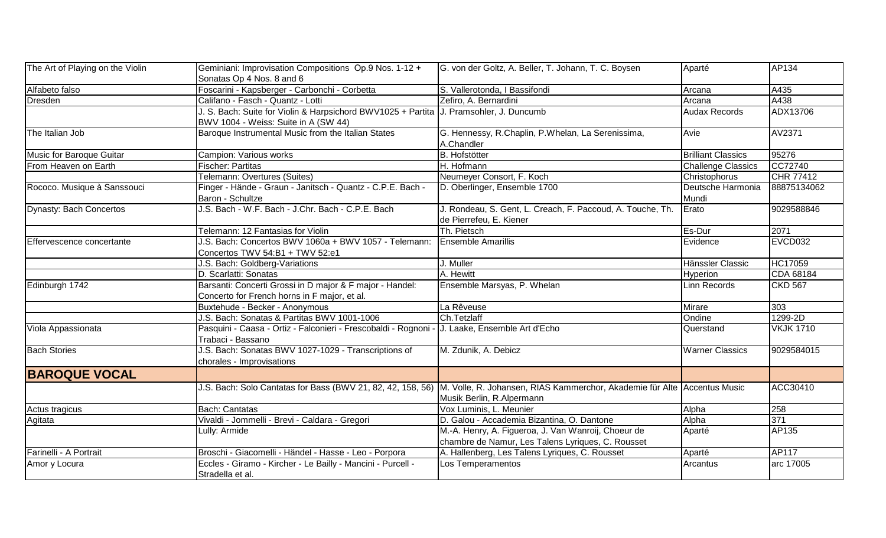| The Art of Playing on the Violin | Geminiani: Improvisation Compositions Op.9 Nos. 1-12 +<br>Sonatas Op 4 Nos. 8 and 6                                              | G. von der Goltz, A. Beller, T. Johann, T. C. Boysen                                                                                                              | Aparté                     | AP134            |
|----------------------------------|----------------------------------------------------------------------------------------------------------------------------------|-------------------------------------------------------------------------------------------------------------------------------------------------------------------|----------------------------|------------------|
| Alfabeto falso                   | Foscarini - Kapsberger - Carbonchi - Corbetta                                                                                    | S. Vallerotonda, I Bassifondi                                                                                                                                     | Arcana                     | A435             |
| Dresden                          | Califano - Fasch - Quantz - Lotti                                                                                                | Zefiro, A. Bernardini                                                                                                                                             | Arcana                     | A438             |
|                                  | J. S. Bach: Suite for Violin & Harpsichord BWV1025 + Partita   J. Pramsohler, J. Duncumb<br>BWV 1004 - Weiss: Suite in A (SW 44) |                                                                                                                                                                   | <b>Audax Records</b>       | ADX13706         |
| The Italian Job                  | Baroque Instrumental Music from the Italian States                                                                               | G. Hennessy, R.Chaplin, P.Whelan, La Serenissima,<br>A.Chandler                                                                                                   | Avie                       | AV2371           |
| Music for Baroque Guitar         | Campion: Various works                                                                                                           | <b>B.</b> Hofstötter                                                                                                                                              | <b>Brilliant Classics</b>  | 95276            |
| From Heaven on Earth             | Fischer: Partitas                                                                                                                | H. Hofmann                                                                                                                                                        | Challenge Classics         | CC72740          |
|                                  | Telemann: Overtures (Suites)                                                                                                     | Neumeyer Consort, F. Koch                                                                                                                                         | Christophorus              | CHR 77412        |
| Rococo. Musique à Sanssouci      | Finger - Hände - Graun - Janitsch - Quantz - C.P.E. Bach -<br>Baron - Schultze                                                   | D. Oberlinger, Ensemble 1700                                                                                                                                      | Deutsche Harmonia<br>Mundi | 88875134062      |
| <b>Dynasty: Bach Concertos</b>   | J.S. Bach - W.F. Bach - J.Chr. Bach - C.P.E. Bach                                                                                | J. Rondeau, S. Gent, L. Creach, F. Paccoud, A. Touche, Th.<br>de Pierrefeu, E. Kiener                                                                             | Erato                      | 9029588846       |
|                                  | Telemann: 12 Fantasias for Violin                                                                                                | Th. Pietsch                                                                                                                                                       | Es-Dur                     | 2071             |
| Effervescence concertante        | J.S. Bach: Concertos BWV 1060a + BWV 1057 - Telemann:<br>Concertos TWV 54:B1 + TWV 52:e1                                         | <b>Ensemble Amarillis</b>                                                                                                                                         | Evidence                   | EVCD032          |
|                                  | J.S. Bach: Goldberg-Variations                                                                                                   | J. Muller                                                                                                                                                         | Hänssler Classic           | <b>HC17059</b>   |
|                                  | D. Scarlatti: Sonatas                                                                                                            | A. Hewitt                                                                                                                                                         | Hyperion                   | CDA 68184        |
| Edinburgh 1742                   | Barsanti: Concerti Grossi in D major & F major - Handel:<br>Concerto for French horns in F major, et al.                         | Ensemble Marsyas, P. Whelan                                                                                                                                       | Linn Records               | <b>CKD 567</b>   |
|                                  | Buxtehude - Becker - Anonymous                                                                                                   | La Rêveuse                                                                                                                                                        | Mirare                     | $\overline{3}03$ |
|                                  | J.S. Bach: Sonatas & Partitas BWV 1001-1006                                                                                      | Ch.Tetzlaff                                                                                                                                                       | Ondine                     | 1299-2D          |
| Viola Appassionata               | Pasquini - Caasa - Ortiz - Falconieri - Frescobaldi - Rognoni -<br>Trabaci - Bassano                                             | J. Laake, Ensemble Art d'Echo                                                                                                                                     | Querstand                  | <b>VKJK 1710</b> |
| <b>Bach Stories</b>              | J.S. Bach: Sonatas BWV 1027-1029 - Transcriptions of<br>chorales - Improvisations                                                | M. Zdunik, A. Debicz                                                                                                                                              | <b>Warner Classics</b>     | 9029584015       |
| <b>BAROQUE VOCAL</b>             |                                                                                                                                  |                                                                                                                                                                   |                            |                  |
|                                  |                                                                                                                                  | J.S. Bach: Solo Cantatas for Bass (BWV 21, 82, 42, 158, 56) M. Volle, R. Johansen, RIAS Kammerchor, Akademie für Alte Accentus Music<br>Musik Berlin, R.Alpermann |                            | ACC30410         |
| Actus tragicus                   | Bach: Cantatas                                                                                                                   | Vox Luminis, L. Meunier                                                                                                                                           | Alpha                      | 258              |
| Agitata                          | Vivaldi - Jommelli - Brevi - Caldara - Gregori                                                                                   | D. Galou - Accademia Bizantina, O. Dantone                                                                                                                        | Alpha                      | 371              |
|                                  | Lully: Armide                                                                                                                    | M.-A. Henry, A. Figueroa, J. Van Wanroij, Choeur de<br>chambre de Namur, Les Talens Lyriques, C. Rousset                                                          | Aparté                     | AP135            |
| Farinelli - A Portrait           | Broschi - Giacomelli - Händel - Hasse - Leo - Porpora                                                                            | A. Hallenberg, Les Talens Lyriques, C. Rousset                                                                                                                    | Aparté                     | <b>AP117</b>     |
| Amor y Locura                    | Eccles - Giramo - Kircher - Le Bailly - Mancini - Purcell -<br>Stradella et al.                                                  | Los Temperamentos                                                                                                                                                 | Arcantus                   | arc 17005        |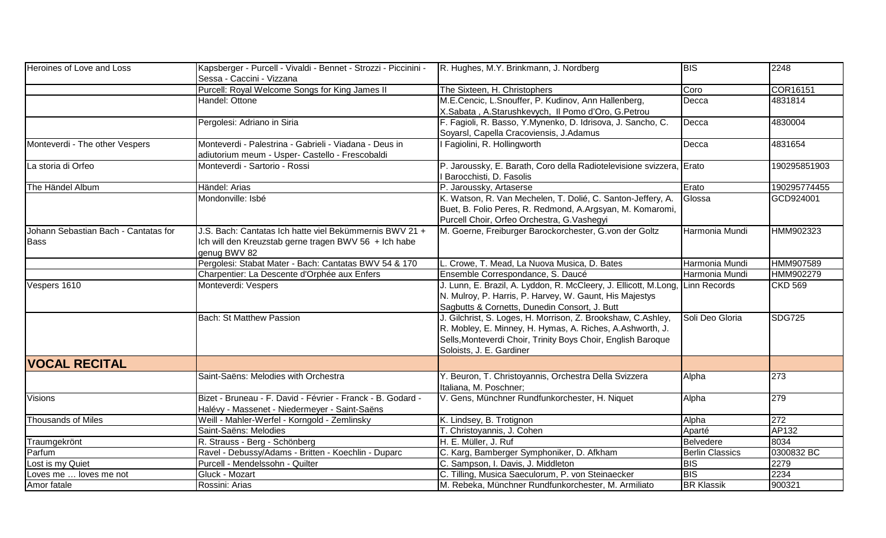| Heroines of Love and Loss                           | Kapsberger - Purcell - Vivaldi - Bennet - Strozzi - Piccinini -<br>Sessa - Caccini - Vizzana                                     | R. Hughes, M.Y. Brinkmann, J. Nordberg                                                                                                                                                                                | <b>BIS</b>             | 2248           |
|-----------------------------------------------------|----------------------------------------------------------------------------------------------------------------------------------|-----------------------------------------------------------------------------------------------------------------------------------------------------------------------------------------------------------------------|------------------------|----------------|
|                                                     | Purcell: Royal Welcome Songs for King James II                                                                                   | The Sixteen, H. Christophers                                                                                                                                                                                          | Coro                   | COR16151       |
|                                                     | Handel: Ottone                                                                                                                   | M.E.Cencic, L.Snouffer, P. Kudinov, Ann Hallenberg,<br>X.Sabata, A.Starushkevych, Il Pomo d'Oro, G.Petrou                                                                                                             | Decca                  | 4831814        |
|                                                     | Pergolesi: Adriano in Siria                                                                                                      | F. Fagioli, R. Basso, Y.Mynenko, D. Idrisova, J. Sancho, C.<br>Soyarsl, Capella Cracoviensis, J.Adamus                                                                                                                | Decca                  | 4830004        |
| Monteverdi - The other Vespers                      | Monteverdi - Palestrina - Gabrieli - Viadana - Deus in<br>adiutorium meum - Usper- Castello - Frescobaldi                        | I Fagiolini, R. Hollingworth                                                                                                                                                                                          | Decca                  | 4831654        |
| La storia di Orfeo                                  | Monteverdi - Sartorio - Rossi                                                                                                    | P. Jaroussky, E. Barath, Coro della Radiotelevisione svizzera, Erato<br>Barocchisti, D. Fasolis                                                                                                                       |                        | 190295851903   |
| The Händel Album                                    | Händel: Arias                                                                                                                    | P. Jaroussky, Artaserse                                                                                                                                                                                               | Erato                  | 190295774455   |
|                                                     | Mondonville: Isbé                                                                                                                | K. Watson, R. Van Mechelen, T. Dolié, C. Santon-Jeffery, A.<br>Buet, B. Folio Peres, R. Redmond, A.Argsyan, M. Komaromi,<br>Purcell Choir, Orfeo Orchestra, G.Vashegyi                                                | Glossa                 | GCD924001      |
| Johann Sebastian Bach - Cantatas for<br><b>Bass</b> | J.S. Bach: Cantatas Ich hatte viel Bekümmernis BWV 21 +<br>Ich will den Kreuzstab gerne tragen BWV 56 + Ich habe<br>genug BWV 82 | M. Goerne, Freiburger Barockorchester, G.von der Goltz                                                                                                                                                                | Harmonia Mundi         | HMM902323      |
|                                                     | Pergolesi: Stabat Mater - Bach: Cantatas BWV 54 & 170                                                                            | L. Crowe, T. Mead, La Nuova Musica, D. Bates                                                                                                                                                                          | Harmonia Mundi         | HMM907589      |
|                                                     | Charpentier: La Descente d'Orphée aux Enfers                                                                                     | Ensemble Correspondance, S. Daucé                                                                                                                                                                                     | Harmonia Mundi         | HMM902279      |
| Vespers 1610                                        | Monteverdi: Vespers                                                                                                              | J. Lunn, E. Brazil, A. Lyddon, R. McCleery, J. Ellicott, M.Long, Linn Records<br>N. Mulroy, P. Harris, P. Harvey, W. Gaunt, His Majestys<br>Sagbutts & Cornetts, Dunedin Consort, J. Butt                             |                        | <b>CKD 569</b> |
|                                                     | Bach: St Matthew Passion                                                                                                         | J. Gilchrist, S. Loges, H. Morrison, Z. Brookshaw, C.Ashley,<br>R. Mobley, E. Minney, H. Hymas, A. Riches, A.Ashworth, J.<br>Sells, Monteverdi Choir, Trinity Boys Choir, English Baroque<br>Soloists, J. E. Gardiner | Soli Deo Gloria        | <b>SDG725</b>  |
| <b>VOCAL RECITAL</b>                                |                                                                                                                                  |                                                                                                                                                                                                                       |                        |                |
|                                                     | Saint-Saëns: Melodies with Orchestra                                                                                             | Y. Beuron, T. Christoyannis, Orchestra Della Svizzera<br>Italiana, M. Poschner;                                                                                                                                       | Alpha                  | 273            |
| <b>Visions</b>                                      | Bizet - Bruneau - F. David - Février - Franck - B. Godard -<br>Halévy - Massenet - Niedermeyer - Saint-Saëns                     | V. Gens, Münchner Rundfunkorchester, H. Niquet                                                                                                                                                                        | Alpha                  | 279            |
| <b>Thousands of Miles</b>                           | Weill - Mahler-Werfel - Korngold - Zemlinsky                                                                                     | K. Lindsey, B. Trotignon                                                                                                                                                                                              | Alpha                  | 272            |
|                                                     | Saint-Saëns: Melodies                                                                                                            | T. Christoyannis, J. Cohen                                                                                                                                                                                            | Aparté                 | AP132          |
| Traumgekrönt                                        | R. Strauss - Berg - Schönberg                                                                                                    | H. E. Müller, J. Ruf                                                                                                                                                                                                  | Belvedere              | 8034           |
| Parfum                                              | Ravel - Debussy/Adams - Britten - Koechlin - Duparc                                                                              | C. Karg, Bamberger Symphoniker, D. Afkham                                                                                                                                                                             | <b>Berlin Classics</b> | 0300832 BC     |
| ost is my Quiet                                     | Purcell - Mendelssohn - Quilter                                                                                                  | C. Sampson, I. Davis, J. Middleton                                                                                                                                                                                    | <b>BIS</b>             | 2279           |
| Loves me  loves me not                              | Gluck - Mozart                                                                                                                   | C. Tilling, Musica Saeculorum, P. von Steinaecker                                                                                                                                                                     | <b>BIS</b>             | 2234           |
| Amor fatale                                         | Rossini: Arias                                                                                                                   | M. Rebeka, Münchner Rundfunkorchester, M. Armiliato                                                                                                                                                                   | <b>BR Klassik</b>      | 900321         |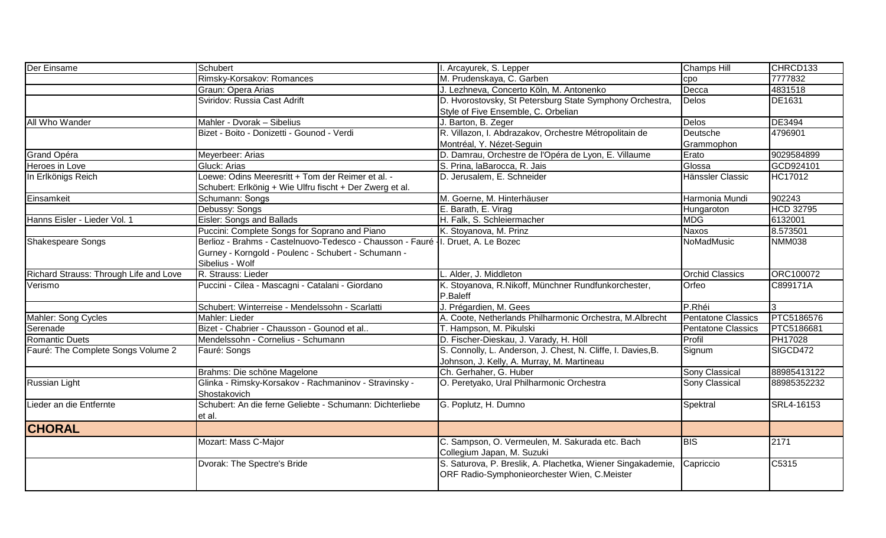| Der Einsame                            | Schubert                                                                                                                                                    | I. Arcayurek, S. Lepper                                                                                     | <b>Champs Hill</b>        | CHRCD133         |
|----------------------------------------|-------------------------------------------------------------------------------------------------------------------------------------------------------------|-------------------------------------------------------------------------------------------------------------|---------------------------|------------------|
|                                        | Rimsky-Korsakov: Romances                                                                                                                                   | M. Prudenskaya, C. Garben                                                                                   | cpo                       | 7777832          |
|                                        | Graun: Opera Arias                                                                                                                                          | J. Lezhneva, Concerto Köln, M. Antonenko                                                                    | Decca                     | 4831518          |
|                                        | Sviridov: Russia Cast Adrift                                                                                                                                | D. Hvorostovsky, St Petersburg State Symphony Orchestra,                                                    | <b>Delos</b>              | DE1631           |
|                                        |                                                                                                                                                             | Style of Five Ensemble, C. Orbelian                                                                         |                           |                  |
| All Who Wander                         | Mahler - Dvorak - Sibelius                                                                                                                                  | J. Barton, B. Zeger                                                                                         | Delos                     | DE3494           |
|                                        | Bizet - Boito - Donizetti - Gounod - Verdi                                                                                                                  | R. Villazon, I. Abdrazakov, Orchestre Métropolitain de                                                      | Deutsche                  | 4796901          |
|                                        |                                                                                                                                                             | Montréal, Y. Nézet-Seguin                                                                                   | Grammophon                |                  |
| Grand Opéra                            | Meyerbeer: Arias                                                                                                                                            | D. Damrau, Orchestre de l'Opéra de Lyon, E. Villaume                                                        | Erato                     | 9029584899       |
| Heroes in Love                         | Gluck: Arias                                                                                                                                                | S. Prina, laBarocca, R. Jais                                                                                | Glossa                    | GCD924101        |
| In Erlkönigs Reich                     | Loewe: Odins Meeresritt + Tom der Reimer et al. -                                                                                                           | D. Jerusalem, E. Schneider                                                                                  | Hänssler Classic          | HC17012          |
|                                        | Schubert: Erlkönig + Wie Ulfru fischt + Der Zwerg et al.                                                                                                    |                                                                                                             |                           |                  |
| Einsamkeit                             | Schumann: Songs                                                                                                                                             | M. Goerne, M. Hinterhäuser                                                                                  | Harmonia Mundi            | 902243           |
|                                        | Debussy: Songs                                                                                                                                              | E. Barath, E. Virag                                                                                         | Hungaroton                | <b>HCD 32795</b> |
| Hanns Eisler - Lieder Vol. 1           | Eisler: Songs and Ballads                                                                                                                                   | H. Falk, S. Schleiermacher                                                                                  | <b>MDG</b>                | 6132001          |
|                                        | Puccini: Complete Songs for Soprano and Piano                                                                                                               | K. Stoyanova, M. Prinz                                                                                      | <b>Naxos</b>              | 8.573501         |
| Shakespeare Songs                      | Berlioz - Brahms - Castelnuovo-Tedesco - Chausson - Fauré   I. Druet, A. Le Bozec<br>Gurney - Korngold - Poulenc - Schubert - Schumann -<br>Sibelius - Wolf |                                                                                                             | <b>NoMadMusic</b>         | <b>NMM038</b>    |
| Richard Strauss: Through Life and Love | R. Strauss: Lieder                                                                                                                                          | L. Alder, J. Middleton                                                                                      | <b>Orchid Classics</b>    | ORC100072        |
| Verismo                                | Puccini - Cilea - Mascagni - Catalani - Giordano                                                                                                            | K. Stoyanova, R.Nikoff, Münchner Rundfunkorchester,<br>P.Baleff                                             | Orfeo                     | C899171A         |
|                                        | Schubert: Winterreise - Mendelssohn - Scarlatti                                                                                                             | J. Prégardien, M. Gees                                                                                      | P.Rhéi                    | $\mathcal{R}$    |
| Mahler: Song Cycles                    | Mahler: Lieder                                                                                                                                              | A. Coote, Netherlands Philharmonic Orchestra, M.Albrecht                                                    | <b>Pentatone Classics</b> | PTC5186576       |
| Serenade                               | Bizet - Chabrier - Chausson - Gounod et al                                                                                                                  | T. Hampson, M. Pikulski                                                                                     | <b>Pentatone Classics</b> | PTC5186681       |
| Romantic Duets                         | Mendelssohn - Cornelius - Schumann                                                                                                                          | D. Fischer-Dieskau, J. Varady, H. Höll                                                                      | Profil                    | PH17028          |
| Fauré: The Complete Songs Volume 2     | Fauré: Songs                                                                                                                                                | S. Connolly, L. Anderson, J. Chest, N. Cliffe, I. Davies, B.<br>Johnson, J. Kelly, A. Murray, M. Martineau  | Signum                    | SIGCD472         |
|                                        | Brahms: Die schöne Magelone                                                                                                                                 | Ch. Gerhaher, G. Huber                                                                                      | Sony Classical            | 88985413122      |
| Russian Light                          | Glinka - Rimsky-Korsakov - Rachmaninov - Stravinsky -<br>Shostakovich                                                                                       | O. Peretyako, Ural Philharmonic Orchestra                                                                   | Sony Classical            | 88985352232      |
| Lieder an die Entfernte                | Schubert: An die ferne Geliebte - Schumann: Dichterliebe<br>et al.                                                                                          | G. Poplutz, H. Dumno                                                                                        | Spektral                  | SRL4-16153       |
| <b>CHORAL</b>                          |                                                                                                                                                             |                                                                                                             |                           |                  |
|                                        | Mozart: Mass C-Major                                                                                                                                        | C. Sampson, O. Vermeulen, M. Sakurada etc. Bach<br>Collegium Japan, M. Suzuki                               | <b>BIS</b>                | 2171             |
|                                        | Dvorak: The Spectre's Bride                                                                                                                                 | S. Saturova, P. Breslik, A. Plachetka, Wiener Singakademie,<br>ORF Radio-Symphonieorchester Wien, C.Meister | Capriccio                 | C5315            |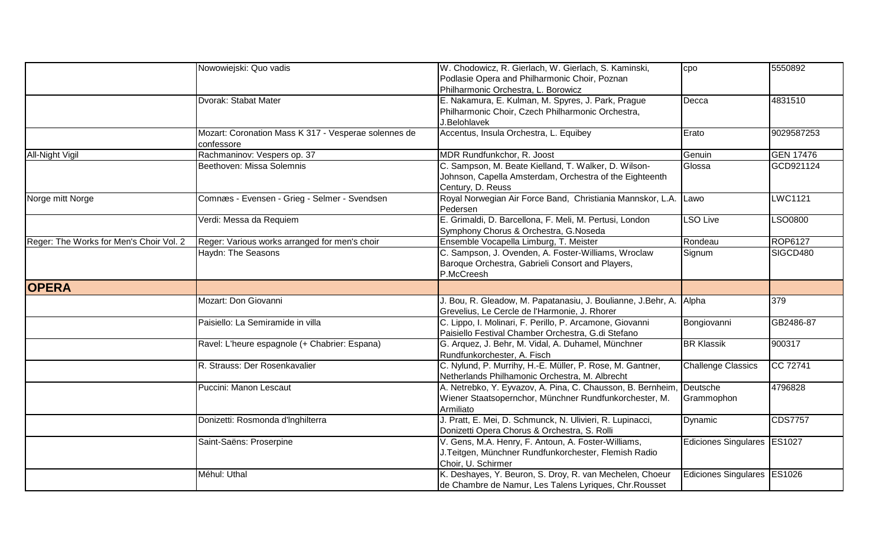|                                         | Nowowiejski: Quo vadis                                             | W. Chodowicz, R. Gierlach, W. Gierlach, S. Kaminski,               | cpo                         | 5550892          |
|-----------------------------------------|--------------------------------------------------------------------|--------------------------------------------------------------------|-----------------------------|------------------|
|                                         |                                                                    | Podlasie Opera and Philharmonic Choir, Poznan                      |                             |                  |
|                                         |                                                                    | Philharmonic Orchestra, L. Borowicz                                |                             |                  |
|                                         | Dvorak: Stabat Mater                                               | E. Nakamura, E. Kulman, M. Spyres, J. Park, Prague                 | Decca                       | 4831510          |
|                                         |                                                                    | Philharmonic Choir, Czech Philharmonic Orchestra,                  |                             |                  |
|                                         |                                                                    | J.Belohlavek                                                       |                             |                  |
|                                         | Mozart: Coronation Mass K 317 - Vesperae solennes de<br>confessore | Accentus, Insula Orchestra, L. Equibey                             | Erato                       | 9029587253       |
| <b>All-Night Vigil</b>                  | Rachmaninov: Vespers op. 37                                        | MDR Rundfunkchor, R. Joost                                         | Genuin                      | <b>GEN 17476</b> |
|                                         | Beethoven: Missa Solemnis                                          | C. Sampson, M. Beate Kielland, T. Walker, D. Wilson-               | Glossa                      | GCD921124        |
|                                         |                                                                    | Johnson, Capella Amsterdam, Orchestra of the Eighteenth            |                             |                  |
|                                         |                                                                    | Century, D. Reuss                                                  |                             |                  |
| Norge mitt Norge                        | Comnæs - Evensen - Grieg - Selmer - Svendsen                       | Royal Norwegian Air Force Band, Christiania Mannskor, L.A.         | Lawo                        | <b>LWC1121</b>   |
|                                         |                                                                    | Pedersen                                                           |                             |                  |
|                                         | Verdi: Messa da Requiem                                            | E. Grimaldi, D. Barcellona, F. Meli, M. Pertusi, London            | <b>LSO Live</b>             | <b>LSO0800</b>   |
|                                         |                                                                    | Symphony Chorus & Orchestra, G.Noseda                              |                             |                  |
| Reger: The Works for Men's Choir Vol. 2 | Reger: Various works arranged for men's choir                      | Ensemble Vocapella Limburg, T. Meister                             | Rondeau                     | <b>ROP6127</b>   |
|                                         | Haydn: The Seasons                                                 | C. Sampson, J. Ovenden, A. Foster-Williams, Wroclaw                | Signum                      | SIGCD480         |
|                                         |                                                                    | Baroque Orchestra, Gabrieli Consort and Players,                   |                             |                  |
|                                         |                                                                    | P.McCreesh                                                         |                             |                  |
| <b>OPERA</b>                            |                                                                    |                                                                    |                             |                  |
|                                         | Mozart: Don Giovanni                                               | J. Bou, R. Gleadow, M. Papatanasiu, J. Boulianne, J.Behr, A. Alpha |                             | 379              |
|                                         |                                                                    | Grevelius, Le Cercle de l'Harmonie, J. Rhorer                      |                             |                  |
|                                         | Paisiello: La Semiramide in villa                                  | C. Lippo, I. Molinari, F. Perillo, P. Arcamone, Giovanni           | Bongiovanni                 | GB2486-87        |
|                                         |                                                                    | Paisiello Festival Chamber Orchestra, G.di Stefano                 |                             |                  |
|                                         | Ravel: L'heure espagnole (+ Chabrier: Espana)                      | G. Arquez, J. Behr, M. Vidal, A. Duhamel, Münchner                 | <b>BR Klassik</b>           | 900317           |
|                                         |                                                                    | Rundfunkorchester, A. Fisch                                        |                             |                  |
|                                         | R. Strauss: Der Rosenkavalier                                      | C. Nylund, P. Murrihy, H.-E. Müller, P. Rose, M. Gantner,          | <b>Challenge Classics</b>   | CC 72741         |
|                                         |                                                                    | Netherlands Philhamonic Orchestra, M. Albrecht                     |                             |                  |
|                                         | Puccini: Manon Lescaut                                             | A. Netrebko, Y. Eyvazov, A. Pina, C. Chausson, B. Bernheim,        | <b>Deutsche</b>             | 4796828          |
|                                         |                                                                    | Wiener Staatsopernchor, Münchner Rundfunkorchester, M.             | Grammophon                  |                  |
|                                         |                                                                    | Armiliato                                                          |                             |                  |
|                                         | Donizetti: Rosmonda d'Inghilterra                                  | J. Pratt, E. Mei, D. Schmunck, N. Ulivieri, R. Lupinacci,          | Dynamic                     | <b>CDS7757</b>   |
|                                         |                                                                    | Donizetti Opera Chorus & Orchestra, S. Rolli                       |                             |                  |
|                                         | Saint-Saëns: Proserpine                                            | V. Gens, M.A. Henry, F. Antoun, A. Foster-Williams,                | Ediciones Singulares ES1027 |                  |
|                                         |                                                                    | J.Teitgen, Münchner Rundfunkorchester, Flemish Radio               |                             |                  |
|                                         |                                                                    | Choir, U. Schirmer                                                 |                             |                  |
|                                         | Méhul: Uthal                                                       | K. Deshayes, Y. Beuron, S. Droy, R. van Mechelen, Choeur           | Ediciones Singulares ES1026 |                  |
|                                         |                                                                    | de Chambre de Namur, Les Talens Lyriques, Chr. Rousset             |                             |                  |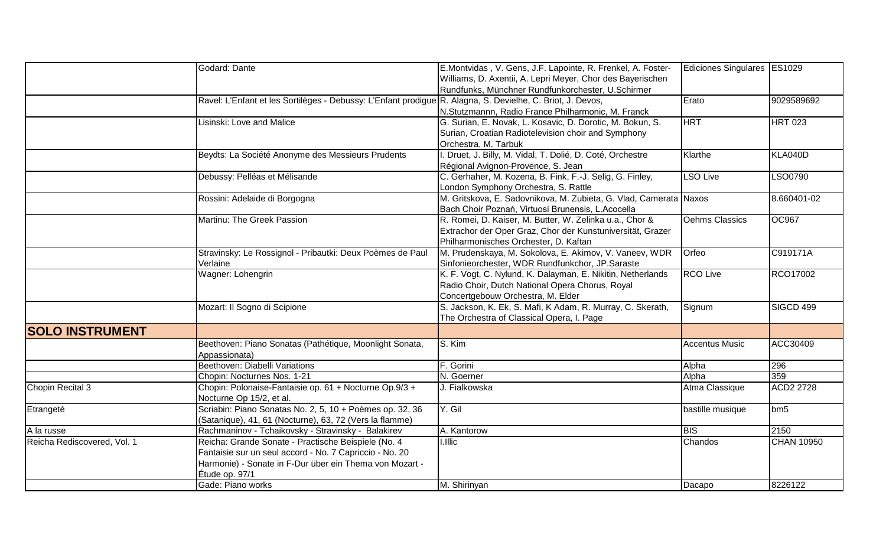|                             | Godard: Dante                                                                                              | E.Montvidas, V. Gens, J.F. Lapointe, R. Frenkel, A. Foster-       | Ediciones Singulares   ES1029 |                   |
|-----------------------------|------------------------------------------------------------------------------------------------------------|-------------------------------------------------------------------|-------------------------------|-------------------|
|                             |                                                                                                            | Williams, D. Axentii, A. Lepri Meyer, Chor des Bayerischen        |                               |                   |
|                             |                                                                                                            | Rundfunks, Münchner Rundfunkorchester, U.Schirmer                 |                               |                   |
|                             | Ravel: L'Enfant et les Sortilèges - Debussy: L'Enfant prodigue R. Alagna, S. Devielhe, C. Briot, J. Devos, |                                                                   | Erato                         | 9029589692        |
|                             |                                                                                                            | N.Stutzmannn, Radio France Philharmonic, M. Franck                |                               |                   |
|                             | Lisinski: Love and Malice                                                                                  | G. Surian, E. Novak, L. Kosavic, D. Dorotic, M. Bokun, S.         | <b>HRT</b>                    | <b>HRT 023</b>    |
|                             |                                                                                                            | Surian, Croatian Radiotelevision choir and Symphony               |                               |                   |
|                             |                                                                                                            | Orchestra, M. Tarbuk                                              |                               |                   |
|                             | Beydts: La Société Anonyme des Messieurs Prudents                                                          | . Druet, J. Billy, M. Vidal, T. Dolié, D. Coté, Orchestre         | Klarthe                       | KLA040D           |
|                             |                                                                                                            | Régional Avignon-Provence, S. Jean                                |                               |                   |
|                             | Debussy: Pelléas et Mélisande                                                                              | C. Gerhaher, M. Kozena, B. Fink, F.-J. Selig, G. Finley,          | <b>LSO Live</b>               | LSO0790           |
|                             |                                                                                                            | London Symphony Orchestra, S. Rattle                              |                               |                   |
|                             | Rossini: Adelaide di Borgogna                                                                              | M. Gritskova, E. Sadovnikova, M. Zubieta, G. Vlad, Camerata Naxos |                               | 8.660401-02       |
|                             |                                                                                                            | Bach Choir Poznań, Virtuosi Brunensis, L.Acocella                 |                               |                   |
|                             | Martinu: The Greek Passion                                                                                 | R. Romei, D. Kaiser, M. Butter, W. Zelinka u.a., Chor &           | Oehms Classics                | <b>OC967</b>      |
|                             |                                                                                                            | Extrachor der Oper Graz, Chor der Kunstuniversität, Grazer        |                               |                   |
|                             |                                                                                                            | Philharmonisches Orchester, D. Kaftan                             |                               |                   |
|                             | Stravinsky: Le Rossignol - Pribautki: Deux Poèmes de Paul                                                  | M. Prudenskaya, M. Sokolova, E. Akimov, V. Vaneev, WDR            | Orfeo                         | C919171A          |
|                             | Verlaine                                                                                                   | Sinfonieorchester, WDR Rundfunkchor, JP.Saraste                   |                               |                   |
|                             | Wagner: Lohengrin                                                                                          | K. F. Vogt, C. Nylund, K. Dalayman, E. Nikitin, Netherlands       | <b>RCO Live</b>               | RCO17002          |
|                             |                                                                                                            | Radio Choir, Dutch National Opera Chorus, Royal                   |                               |                   |
|                             |                                                                                                            | Concertgebouw Orchestra, M. Elder                                 |                               |                   |
|                             | Mozart: Il Sogno di Scipione                                                                               | S. Jackson, K. Ek, S. Mafi, K Adam, R. Murray, C. Skerath,        | Signum                        | SIGCD 499         |
|                             |                                                                                                            | The Orchestra of Classical Opera, I. Page                         |                               |                   |
| <b>SOLO INSTRUMENT</b>      |                                                                                                            |                                                                   |                               |                   |
|                             | Beethoven: Piano Sonatas (Pathétique, Moonlight Sonata,                                                    | S. Kim                                                            | <b>Accentus Music</b>         | ACC30409          |
|                             | Appassionata)                                                                                              |                                                                   |                               |                   |
|                             | Beethoven: Diabelli Variations                                                                             | F. Gorini                                                         | Alpha                         | 296               |
|                             | Chopin: Nocturnes Nos. 1-21                                                                                | N. Goerner                                                        | Alpha                         | 359               |
| Chopin Recital 3            | Chopin: Polonaise-Fantaisie op. 61 + Nocturne Op.9/3 +                                                     | J. Fialkowska                                                     | Atma Classique                | <b>ACD2 2728</b>  |
|                             | Nocturne Op 15/2, et al.                                                                                   |                                                                   |                               |                   |
| Etrangeté                   | Scriabin: Piano Sonatas No. 2, 5, 10 + Poèmes op. 32, 36                                                   | Y. Gil                                                            | bastille musique              | bm 5              |
|                             | (Satanique), 41, 61 (Nocturne), 63, 72 (Vers la flamme)                                                    |                                                                   |                               |                   |
| A la russe                  | Rachmaninov - Tchaikovsky - Stravinsky - Balakirev                                                         | A. Kantorow                                                       | <b>BIS</b>                    | 2150              |
| Reicha Rediscovered, Vol. 1 | Reicha: Grande Sonate - Practische Beispiele (No. 4                                                        | I.Illic                                                           | Chandos                       | <b>CHAN 10950</b> |
|                             | Fantaisie sur un seul accord - No. 7 Capriccio - No. 20                                                    |                                                                   |                               |                   |
|                             | Harmonie) - Sonate in F-Dur über ein Thema von Mozart -                                                    |                                                                   |                               |                   |
|                             | Étude op. 97/1                                                                                             |                                                                   |                               |                   |
|                             | Gade: Piano works                                                                                          | M. Shirinyan                                                      | Dacapo                        | 8226122           |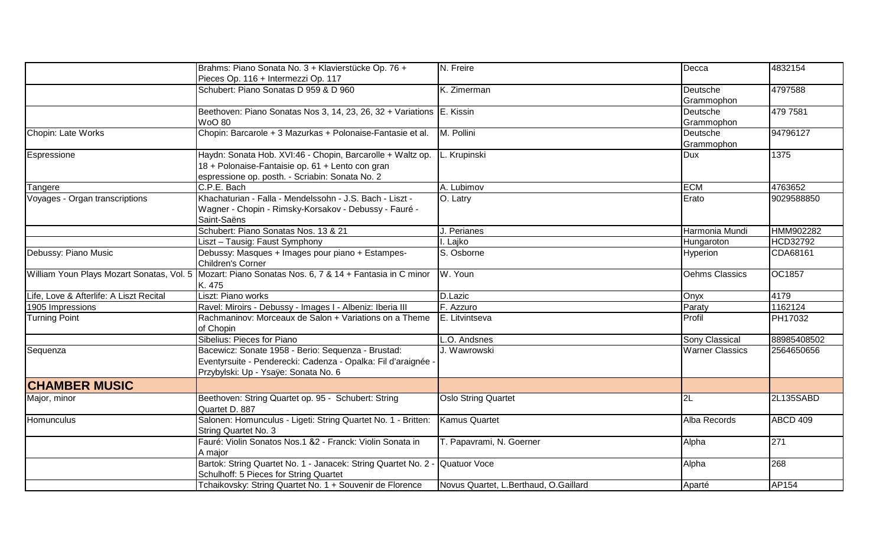|                                           | Brahms: Piano Sonata No. 3 + Klavierstücke Op. 76 +<br>Pieces Op. 116 + Intermezzi Op. 117                                                                        | N. Freire                             | Decca                  | 4832154         |
|-------------------------------------------|-------------------------------------------------------------------------------------------------------------------------------------------------------------------|---------------------------------------|------------------------|-----------------|
|                                           | Schubert: Piano Sonatas D 959 & D 960                                                                                                                             | $\overline{K}$ . Zimerman             | Deutsche<br>Grammophon | 4797588         |
|                                           | Beethoven: Piano Sonatas Nos 3, 14, 23, 26, 32 + Variations E. Kissin<br><b>WoO 80</b>                                                                            |                                       | Deutsche<br>Grammophon | 479 7581        |
| Chopin: Late Works                        | Chopin: Barcarole + 3 Mazurkas + Polonaise-Fantasie et al.                                                                                                        | M. Pollini                            | Deutsche<br>Grammophon | 94796127        |
| Espressione                               | Haydn: Sonata Hob. XVI:46 - Chopin, Barcarolle + Waltz op.<br>18 + Polonaise-Fantaisie op. 61 + Lento con gran<br>espressione op. posth. - Scriabin: Sonata No. 2 | L. Krupinski                          | Dux                    | 1375            |
| Tangere                                   | C.P.E. Bach                                                                                                                                                       | A. Lubimov                            | <b>ECM</b>             | 4763652         |
| Voyages - Organ transcriptions            | Khachaturian - Falla - Mendelssohn - J.S. Bach - Liszt -<br>Wagner - Chopin - Rimsky-Korsakov - Debussy - Fauré -<br>Saint-Saëns                                  | O. Latry                              | Erato                  | 9029588850      |
|                                           | Schubert: Piano Sonatas Nos. 13 & 21                                                                                                                              | J. Perianes                           | Harmonia Mundi         | HMM902282       |
|                                           | Liszt - Tausig: Faust Symphony                                                                                                                                    | I. Lajko                              | Hungaroton             | <b>HCD32792</b> |
| Debussy: Piano Music                      | Debussy: Masques + Images pour piano + Estampes-<br>Children's Corner                                                                                             | S. Osborne                            | Hyperion               | CDA68161        |
| William Youn Plays Mozart Sonatas, Vol. 5 | Mozart: Piano Sonatas Nos. 6, 7 & 14 + Fantasia in C minor<br>K. 475                                                                                              | W. Youn                               | Oehms Classics         | OC1857          |
| Life, Love & Afterlife: A Liszt Recital   | Liszt: Piano works                                                                                                                                                | D.Lazic                               | <b>Onyx</b>            | 4179            |
| 1905 Impressions                          | Ravel: Miroirs - Debussy - Images I - Albeniz: Iberia III                                                                                                         | F. Azzuro                             | Paraty                 | 1162124         |
| <b>Turning Point</b>                      | Rachmaninov: Morceaux de Salon + Variations on a Theme<br>of Chopin                                                                                               | E. Litvintseva                        | Profil                 | PH17032         |
|                                           | Sibelius: Pieces for Piano                                                                                                                                        | .O. Andsnes                           | Sony Classical         | 88985408502     |
| Sequenza                                  | Bacewicz: Sonate 1958 - Berio: Sequenza - Brustad:<br>Eventyrsuite - Penderecki: Cadenza - Opalka: Fil d'araignée -<br>Przybylski: Up - Ysaÿe: Sonata No. 6       | J. Wawrowski                          | <b>Warner Classics</b> | 2564650656      |
| <b>CHAMBER MUSIC</b>                      |                                                                                                                                                                   |                                       |                        |                 |
| Major, minor                              | Beethoven: String Quartet op. 95 - Schubert: String<br>Quartet D. 887                                                                                             | <b>Oslo String Quartet</b>            | $\overline{2L}$        | 2L135SABD       |
| <b>Homunculus</b>                         | Salonen: Homunculus - Ligeti: String Quartet No. 1 - Britten:<br>String Quartet No. 3                                                                             | <b>Kamus Quartet</b>                  | Alba Records           | ABCD 409        |
|                                           | Fauré: Violin Sonatos Nos.1 &2 - Franck: Violin Sonata in<br>A major                                                                                              | T. Papavrami, N. Goerner              | Alpha                  | 271             |
|                                           | Bartok: String Quartet No. 1 - Janacek: String Quartet No. 2 - Quatuor Voce<br>Schulhoff: 5 Pieces for String Quartet                                             |                                       | Alpha                  | 268             |
|                                           | Tchaikovsky: String Quartet No. 1 + Souvenir de Florence                                                                                                          | Novus Quartet, L.Berthaud, O.Gaillard | Aparté                 | AP154           |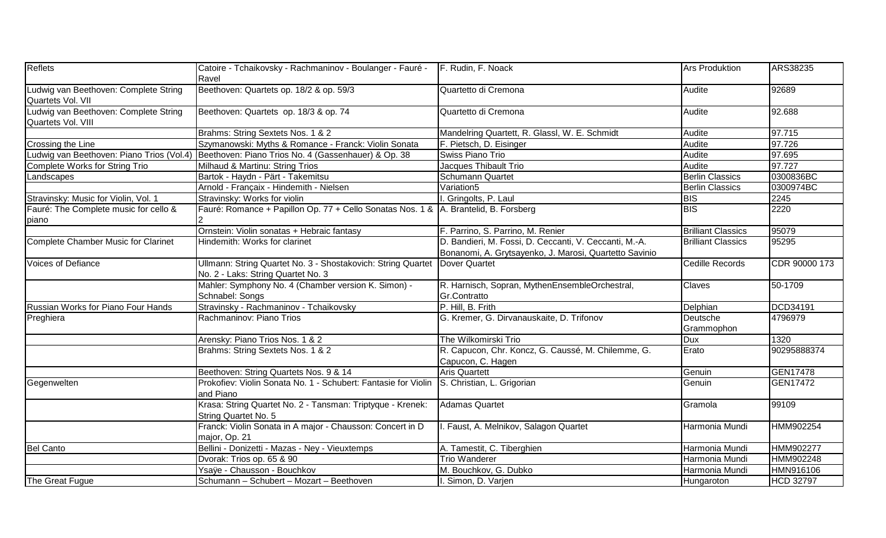| <b>Reflets</b>                                             | Catoire - Tchaikovsky - Rachmaninov - Boulanger - Fauré - F. Rudin, F. Noack<br>Ravel                  |                                                                                                                  | <b>Ars Produktion</b>         | ARS38235         |
|------------------------------------------------------------|--------------------------------------------------------------------------------------------------------|------------------------------------------------------------------------------------------------------------------|-------------------------------|------------------|
| Ludwig van Beethoven: Complete String<br>Quartets Vol. VII | Beethoven: Quartets op. 18/2 & op. 59/3                                                                | Quartetto di Cremona                                                                                             | Audite                        | 92689            |
| Ludwig van Beethoven: Complete String                      | Beethoven: Quartets op. 18/3 & op. 74                                                                  | Quartetto di Cremona                                                                                             | Audite                        | 92.688           |
| Quartets Vol. VIII                                         |                                                                                                        |                                                                                                                  |                               |                  |
|                                                            | Brahms: String Sextets Nos. 1 & 2                                                                      | Mandelring Quartett, R. Glassl, W. E. Schmidt                                                                    | Audite                        | 97.715           |
| Crossing the Line                                          | Szymanowski: Myths & Romance - Franck: Violin Sonata                                                   | F. Pietsch, D. Eisinger                                                                                          | Audite                        | 97.726           |
| Ludwig van Beethoven: Piano Trios (Vol.4)                  | Beethoven: Piano Trios No. 4 (Gassenhauer) & Op. 38                                                    | Swiss Piano Trio                                                                                                 | Audite                        | 97.695           |
| <b>Complete Works for String Trio</b>                      | Milhaud & Martinu: String Trios                                                                        | Jacques Thibault Trio                                                                                            | Audite                        | 97.727           |
| Landscapes                                                 | Bartok - Haydn - Pärt - Takemitsu                                                                      | <b>Schumann Quartet</b>                                                                                          | <b>Berlin Classics</b>        | 0300836BC        |
|                                                            | Arnold - Françaix - Hindemith - Nielsen                                                                | Variation5                                                                                                       | <b>Berlin Classics</b>        | 0300974BC        |
| Stravinsky: Music for Violin, Vol. 1                       | Stravinsky: Works for violin                                                                           | I. Gringolts, P. Laul                                                                                            | <b>BIS</b>                    | 2245             |
| Fauré: The Complete music for cello &<br>piano             | Fauré: Romance + Papillon Op. 77 + Cello Sonatas Nos. 1 &  A. Brantelid, B. Forsberg                   |                                                                                                                  | <b>BIS</b>                    | 2220             |
|                                                            | Ornstein: Violin sonatas + Hebraic fantasy                                                             | F. Parrino, S. Parrino, M. Renier                                                                                | <b>Brilliant Classics</b>     | 95079            |
| <b>Complete Chamber Music for Clarinet</b>                 | Hindemith: Works for clarinet                                                                          | D. Bandieri, M. Fossi, D. Ceccanti, V. Ceccanti, M.-A.<br>Bonanomi, A. Grytsayenko, J. Marosi, Quartetto Savinio | <b>Brilliant Classics</b>     | 95295            |
| <b>Voices of Defiance</b>                                  | Ullmann: String Quartet No. 3 - Shostakovich: String Quartet<br>No. 2 - Laks: String Quartet No. 3     | Dover Quartet                                                                                                    | Cedille Records               | CDR 90000 173    |
|                                                            | Mahler: Symphony No. 4 (Chamber version K. Simon) -<br>Schnabel: Songs                                 | R. Harnisch, Sopran, MythenEnsembleOrchestral,<br>Gr.Contratto                                                   | Claves                        | 50-1709          |
| <b>Russian Works for Piano Four Hands</b>                  | Stravinsky - Rachmaninov - Tchaikovsky                                                                 | P. Hill, B. Frith                                                                                                | Delphian                      | <b>DCD34191</b>  |
| Preghiera                                                  | Rachmaninov: Piano Trios                                                                               | G. Kremer, G. Dirvanauskaite, D. Trifonov                                                                        | <b>Deutsche</b><br>Grammophon | 4796979          |
|                                                            | Arensky: Piano Trios Nos. 1 & 2                                                                        | The Wilkomirski Trio                                                                                             | Dux                           | 1320             |
|                                                            | Brahms: String Sextets Nos. 1 & 2                                                                      | R. Capucon, Chr. Koncz, G. Caussé, M. Chilemme, G.<br>Capucon, C. Hagen                                          | Erato                         | 90295888374      |
|                                                            | Beethoven: String Quartets Nos. 9 & 14                                                                 | <b>Aris Quartett</b>                                                                                             | Genuin                        | <b>GEN17478</b>  |
| Gegenwelten                                                | Prokofiev: Violin Sonata No. 1 - Schubert: Fantasie for Violin S. Christian, L. Grigorian<br>and Piano |                                                                                                                  | Genuin                        | <b>GEN17472</b>  |
|                                                            | Krasa: String Quartet No. 2 - Tansman: Triptyque - Krenek:<br>String Quartet No. 5                     | <b>Adamas Quartet</b>                                                                                            | Gramola                       | 99109            |
|                                                            | Franck: Violin Sonata in A major - Chausson: Concert in D<br>major, Op. 21                             | I. Faust, A. Melnikov, Salagon Quartet                                                                           | Harmonia Mundi                | <b>HMM902254</b> |
| <b>Bel Canto</b>                                           | Bellini - Donizetti - Mazas - Ney - Vieuxtemps                                                         | A. Tamestit, C. Tiberghien                                                                                       | Harmonia Mundi                | <b>HMM902277</b> |
|                                                            | Dvorak: Trios op. 65 & 90                                                                              | <b>Trio Wanderer</b>                                                                                             | Harmonia Mundi                | HMM902248        |
|                                                            | Ysaÿe - Chausson - Bouchkov                                                                            | M. Bouchkov, G. Dubko                                                                                            | Harmonia Mundi                | HMN916106        |
| The Great Fugue                                            | Schumann - Schubert - Mozart - Beethoven                                                               | I. Simon, D. Varjen                                                                                              | Hungaroton                    | <b>HCD 32797</b> |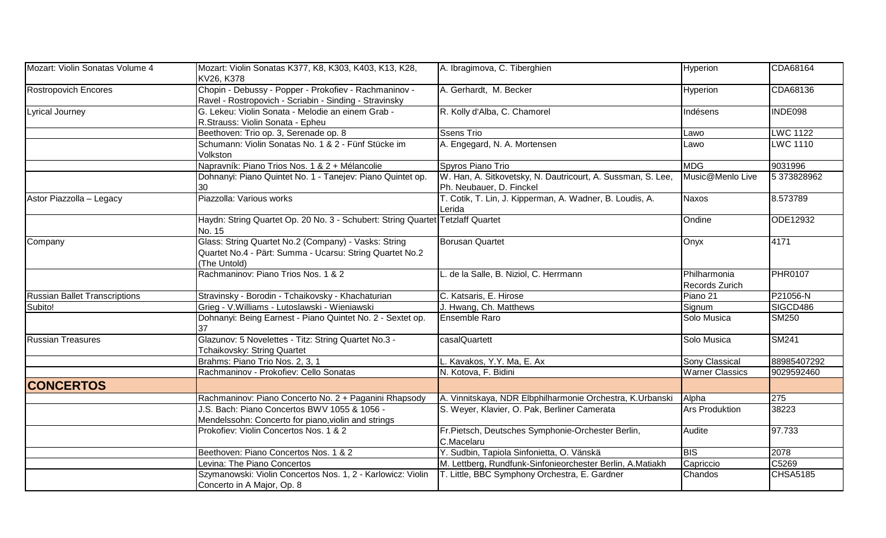| Mozart: Violin Sonatas Volume 4      | Mozart: Violin Sonatas K377, K8, K303, K403, K13, K28,<br>KV26, K378                                                             | A. Ibragimova, C. Tiberghien                                                            | Hyperion                       | CDA68164        |
|--------------------------------------|----------------------------------------------------------------------------------------------------------------------------------|-----------------------------------------------------------------------------------------|--------------------------------|-----------------|
| <b>Rostropovich Encores</b>          | Chopin - Debussy - Popper - Prokofiev - Rachmaninov -<br>Ravel - Rostropovich - Scriabin - Sinding - Stravinsky                  | A. Gerhardt, M. Becker                                                                  | Hyperion                       | CDA68136        |
| Lyrical Journey                      | G. Lekeu: Violin Sonata - Melodie an einem Grab -<br>R.Strauss: Violin Sonata - Epheu                                            | R. Kolly d'Alba, C. Chamorel                                                            | Indésens                       | INDE098         |
|                                      | Beethoven: Trio op. 3, Serenade op. 8                                                                                            | <b>Ssens Trio</b>                                                                       | Lawo                           | <b>LWC 1122</b> |
|                                      | Schumann: Violin Sonatas No. 1 & 2 - Fünf Stücke im<br>Volkston                                                                  | A. Engegard, N. A. Mortensen                                                            | Lawo                           | <b>LWC 1110</b> |
|                                      | Napravník: Piano Trios Nos. 1 & 2 + Mélancolie                                                                                   | Spyros Piano Trio                                                                       | <b>MDG</b>                     | 9031996         |
|                                      | Dohnanyi: Piano Quintet No. 1 - Tanejev: Piano Quintet op.<br>30                                                                 | W. Han, A. Sitkovetsky, N. Dautricourt, A. Sussman, S. Lee,<br>Ph. Neubauer, D. Finckel | Music@Menlo Live               | 5373828962      |
| Astor Piazzolla - Legacy             | Piazzolla: Various works                                                                                                         | T. Cotik, T. Lin, J. Kipperman, A. Wadner, B. Loudis, A.<br>Lerida                      | <b>Naxos</b>                   | 8.573789        |
|                                      | Haydn: String Quartet Op. 20 No. 3 - Schubert: String Quartet Tetzlaff Quartet<br>No. 15                                         |                                                                                         | Ondine                         | ODE12932        |
| Company                              | Glass: String Quartet No.2 (Company) - Vasks: String<br>Quartet No.4 - Pärt: Summa - Ucarsu: String Quartet No.2<br>(The Untold) | <b>Borusan Quartet</b>                                                                  | Onyx                           | 4171            |
|                                      | Rachmaninov: Piano Trios Nos. 1 & 2                                                                                              | L. de la Salle, B. Niziol, C. Herrmann                                                  | Philharmonia<br>Records Zurich | <b>PHR0107</b>  |
| <b>Russian Ballet Transcriptions</b> | Stravinsky - Borodin - Tchaikovsky - Khachaturian                                                                                | C. Katsaris, E. Hirose                                                                  | Piano 21                       | P21056-N        |
| Subito!                              | Grieg - V. Williams - Lutoslawski - Wieniawski                                                                                   | J. Hwang, Ch. Matthews                                                                  | Signum                         | SIGCD486        |
|                                      | Dohnanyi: Being Earnest - Piano Quintet No. 2 - Sextet op.<br>37                                                                 | <b>Ensemble Raro</b>                                                                    | Solo Musica                    | <b>SM250</b>    |
| <b>Russian Treasures</b>             | Glazunov: 5 Novelettes - Titz: String Quartet No.3 -<br>Tchaikovsky: String Quartet                                              | casalQuartett                                                                           | Solo Musica                    | <b>SM241</b>    |
|                                      | Brahms: Piano Trio Nos. 2, 3, 1                                                                                                  | L. Kavakos, Y.Y. Ma, E. Ax                                                              | Sony Classical                 | 88985407292     |
|                                      | Rachmaninov - Prokofiev: Cello Sonatas                                                                                           | N. Kotova, F. Bidini                                                                    | <b>Warner Classics</b>         | 9029592460      |
| <b>CONCERTOS</b>                     |                                                                                                                                  |                                                                                         |                                |                 |
|                                      | Rachmaninov: Piano Concerto No. 2 + Paganini Rhapsody                                                                            | A. Vinnitskaya, NDR Elbphilharmonie Orchestra, K.Urbanski                               | Alpha                          | 275             |
|                                      | J.S. Bach: Piano Concertos BWV 1055 & 1056 -<br>Mendelssohn: Concerto for piano, violin and strings                              | S. Weyer, Klavier, O. Pak, Berliner Camerata                                            | <b>Ars Produktion</b>          | 38223           |
|                                      | Prokofiev: Violin Concertos Nos. 1 & 2                                                                                           | Fr.Pietsch, Deutsches Symphonie-Orchester Berlin,<br>C.Macelaru                         | Audite                         | 97.733          |
|                                      | Beethoven: Piano Concertos Nos. 1 & 2                                                                                            | Y. Sudbin, Tapiola Sinfonietta, O. Vänskä                                               | BIS                            | 2078            |
|                                      | Levina: The Piano Concertos                                                                                                      | M. Lettberg, Rundfunk-Sinfonieorchester Berlin, A.Matiakh                               | Capriccio                      | C5269           |
|                                      | Szymanowski: Violin Concertos Nos. 1, 2 - Karlowicz: Violin<br>Concerto in A Major, Op. 8                                        | T. Little, BBC Symphony Orchestra, E. Gardner                                           | Chandos                        | <b>CHSA5185</b> |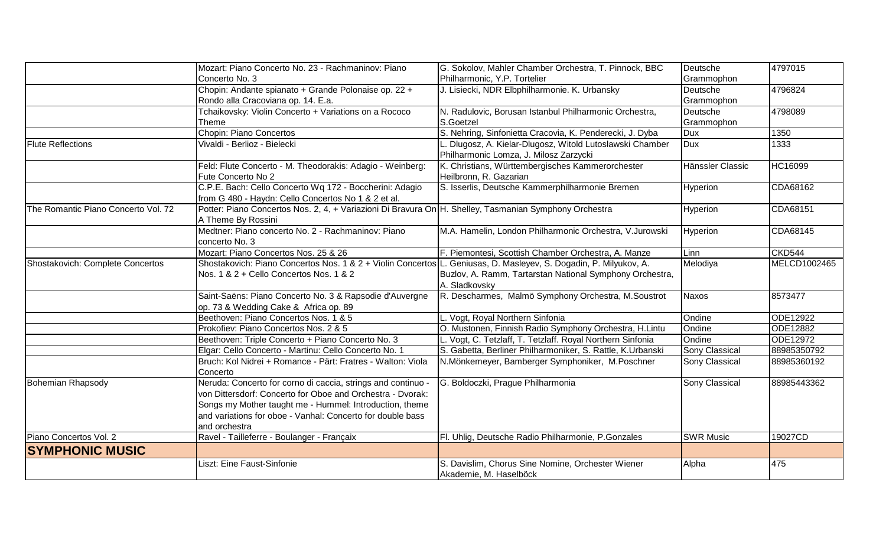|                                     | Mozart: Piano Concerto No. 23 - Rachmaninov: Piano                                                                | G. Sokolov, Mahler Chamber Orchestra, T. Pinnock, BBC      | Deutsche              | 4797015       |
|-------------------------------------|-------------------------------------------------------------------------------------------------------------------|------------------------------------------------------------|-----------------------|---------------|
|                                     | Concerto No. 3                                                                                                    | Philharmonic, Y.P. Tortelier                               | Grammophon            |               |
|                                     | Chopin: Andante spianato + Grande Polonaise op. 22 +                                                              | J. Lisiecki, NDR Elbphilharmonie. K. Urbansky              | Deutsche              | 4796824       |
|                                     | Rondo alla Cracoviana op. 14. E.a.                                                                                |                                                            | Grammophon            |               |
|                                     | Tchaikovsky: Violin Concerto + Variations on a Rococo                                                             | N. Radulovic, Borusan Istanbul Philharmonic Orchestra,     | Deutsche              | 4798089       |
|                                     | Theme                                                                                                             | S.Goetzel                                                  | Grammophon            |               |
|                                     | Chopin: Piano Concertos                                                                                           | S. Nehring, Sinfonietta Cracovia, K. Penderecki, J. Dyba   | <b>Dux</b>            | 1350          |
| <b>Flute Reflections</b>            | Vivaldi - Berlioz - Bielecki                                                                                      | Dlugosz, A. Kielar-Dlugosz, Witold Lutoslawski Chamber     | <b>Dux</b>            | 1333          |
|                                     |                                                                                                                   | Philharmonic Lomza, J. Milosz Zarzycki                     |                       |               |
|                                     | Feld: Flute Concerto - M. Theodorakis: Adagio - Weinberg:                                                         | K. Christians, Württembergisches Kammerorchester           | Hänssler Classic      | HC16099       |
|                                     | Fute Concerto No 2                                                                                                | Heilbronn, R. Gazarian                                     |                       |               |
|                                     | C.P.E. Bach: Cello Concerto Wq 172 - Boccherini: Adagio                                                           | S. Isserlis, Deutsche Kammerphilharmonie Bremen            | Hyperion              | CDA68162      |
|                                     | from G 480 - Haydn: Cello Concertos No 1 & 2 et al.                                                               |                                                            |                       |               |
| The Romantic Piano Concerto Vol. 72 | Potter: Piano Concertos Nos. 2, 4, + Variazioni Di Bravura On H. Shelley, Tasmanian Symphony Orchestra            |                                                            | Hyperion              | CDA68151      |
|                                     | A Theme By Rossini                                                                                                |                                                            |                       |               |
|                                     | Medtner: Piano concerto No. 2 - Rachmaninov: Piano                                                                | M.A. Hamelin, London Philharmonic Orchestra, V.Jurowski    | Hyperion              | CDA68145      |
|                                     | concerto No. 3                                                                                                    |                                                            |                       |               |
|                                     | Mozart: Piano Concertos Nos. 25 & 26                                                                              | F. Piemontesi, Scottish Chamber Orchestra, A. Manze        | Linn                  | <b>CKD544</b> |
| Shostakovich: Complete Concertos    | Shostakovich: Piano Concertos Nos. 1 & 2 + Violin Concertos L. Geniusas, D. Masleyev, S. Dogadin, P. Milyukov, A. |                                                            | Melodiya              | MELCD1002465  |
|                                     | Nos. 1 & 2 + Cello Concertos Nos. 1 & 2                                                                           | Buzlov, A. Ramm, Tartarstan National Symphony Orchestra,   |                       |               |
|                                     |                                                                                                                   | A. Sladkovsky                                              |                       |               |
|                                     | Saint-Saëns: Piano Concerto No. 3 & Rapsodie d'Auvergne                                                           | R. Descharmes, Malmö Symphony Orchestra, M. Soustrot       | <b>Naxos</b>          | 8573477       |
|                                     | op. 73 & Wedding Cake & Africa op. 89                                                                             |                                                            |                       |               |
|                                     | Beethoven: Piano Concertos Nos. 1 & 5                                                                             | L. Vogt, Royal Northern Sinfonia                           | Ondine                | ODE12922      |
|                                     | Prokofiev: Piano Concertos Nos. 2 & 5                                                                             | O. Mustonen, Finnish Radio Symphony Orchestra, H.Lintu     | Ondine                | ODE12882      |
|                                     | Beethoven: Triple Concerto + Piano Concerto No. 3                                                                 | L. Vogt, C. Tetzlaff, T. Tetzlaff. Royal Northern Sinfonia | Ondine                | ODE12972      |
|                                     | Elgar: Cello Concerto - Martinu: Cello Concerto No. 1                                                             | S. Gabetta, Berliner Philharmoniker, S. Rattle, K.Urbanski | <b>Sony Classical</b> | 88985350792   |
|                                     | Bruch: Kol Nidrei + Romance - Pärt: Fratres - Walton: Viola                                                       | N.Mönkemeyer, Bamberger Symphoniker, M.Poschner            | Sony Classical        | 88985360192   |
|                                     | Concerto                                                                                                          |                                                            |                       |               |
| <b>Bohemian Rhapsody</b>            | Neruda: Concerto for corno di caccia, strings and continuo -                                                      | G. Boldoczki, Prague Philharmonia                          | Sony Classical        | 88985443362   |
|                                     | von Dittersdorf: Concerto for Oboe and Orchestra - Dvorak:                                                        |                                                            |                       |               |
|                                     | Songs my Mother taught me - Hummel: Introduction, theme                                                           |                                                            |                       |               |
|                                     | and variations for oboe - Vanhal: Concerto for double bass                                                        |                                                            |                       |               |
|                                     | and orchestra                                                                                                     |                                                            |                       |               |
| Piano Concertos Vol. 2              | Ravel - Tailleferre - Boulanger - Françaix                                                                        | Fl. Uhlig, Deutsche Radio Philharmonie, P.Gonzales         | <b>SWR Music</b>      | 19027CD       |
| <b>SYMPHONIC MUSIC</b>              |                                                                                                                   |                                                            |                       |               |
|                                     | Liszt: Eine Faust-Sinfonie                                                                                        | S. Davislim, Chorus Sine Nomine, Orchester Wiener          | Alpha                 | 475           |
|                                     |                                                                                                                   | Akademie, M. Haselböck                                     |                       |               |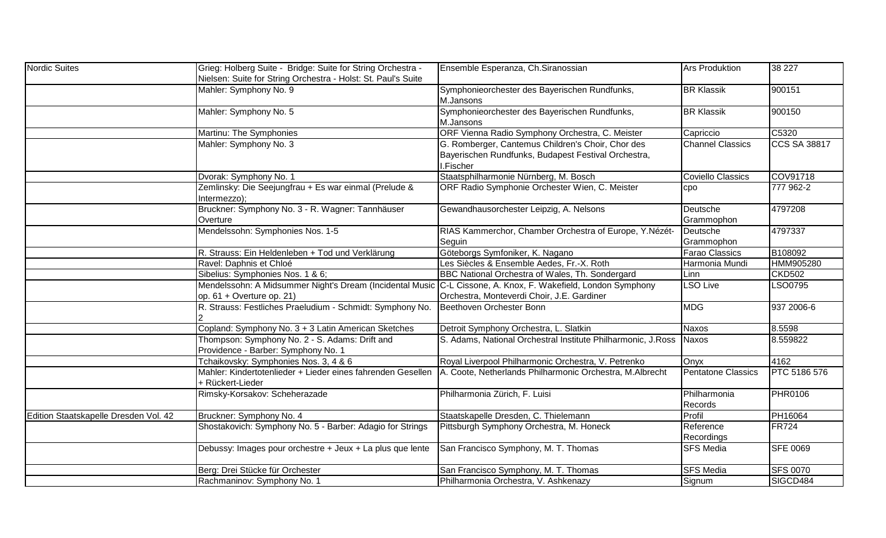| Nordic Suites                         | Grieg: Holberg Suite - Bridge: Suite for String Orchestra -<br>Nielsen: Suite for String Orchestra - Holst: St. Paul's Suite                | Ensemble Esperanza, Ch.Siranossian                                                                                    | <b>Ars Produktion</b>     | 38 227              |
|---------------------------------------|---------------------------------------------------------------------------------------------------------------------------------------------|-----------------------------------------------------------------------------------------------------------------------|---------------------------|---------------------|
|                                       | Mahler: Symphony No. 9                                                                                                                      | Symphonieorchester des Bayerischen Rundfunks,<br>M.Jansons                                                            | <b>BR Klassik</b>         | 900151              |
|                                       | Mahler: Symphony No. 5                                                                                                                      | Symphonieorchester des Bayerischen Rundfunks,<br>M.Jansons                                                            | <b>BR Klassik</b>         | 900150              |
|                                       | Martinu: The Symphonies                                                                                                                     | ORF Vienna Radio Symphony Orchestra, C. Meister                                                                       | Capriccio                 | C5320               |
|                                       | Mahler: Symphony No. 3                                                                                                                      | G. Romberger, Cantemus Children's Choir, Chor des<br>Bayerischen Rundfunks, Budapest Festival Orchestra,<br>I.Fischer | <b>Channel Classics</b>   | <b>CCS SA 38817</b> |
|                                       | Dvorak: Symphony No. 1                                                                                                                      | Staatsphilharmonie Nürnberg, M. Bosch                                                                                 | <b>Coviello Classics</b>  | COV91718            |
|                                       | Zemlinsky: Die Seejungfrau + Es war einmal (Prelude &<br>Intermezzo);                                                                       | ORF Radio Symphonie Orchester Wien, C. Meister                                                                        | cpo                       | 777 962-2           |
|                                       | Bruckner: Symphony No. 3 - R. Wagner: Tannhäuser<br>Overture                                                                                | Gewandhausorchester Leipzig, A. Nelsons                                                                               | Deutsche<br>Grammophon    | 4797208             |
|                                       | Mendelssohn: Symphonies Nos. 1-5                                                                                                            | RIAS Kammerchor, Chamber Orchestra of Europe, Y.Nézét-<br>Seguin                                                      | Deutsche<br>Grammophon    | 4797337             |
|                                       | R. Strauss: Ein Heldenleben + Tod und Verklärung                                                                                            | Göteborgs Symfoniker, K. Nagano                                                                                       | <b>Farao Classics</b>     | B <sub>108092</sub> |
|                                       | Ravel: Daphnis et Chloé                                                                                                                     | Les Siècles & Ensemble Aedes, Fr.-X. Roth                                                                             | Harmonia Mundi            | HMM905280           |
|                                       | Sibelius: Symphonies Nos. 1 & 6;                                                                                                            | BBC National Orchestra of Wales, Th. Sondergard                                                                       | Linn                      | <b>CKD502</b>       |
|                                       | Mendelssohn: A Midsummer Night's Dream (Incidental Music C-L Cissone, A. Knox, F. Wakefield, London Symphony<br>$op. 61 + Overture op. 21)$ | Orchestra, Monteverdi Choir, J.E. Gardiner                                                                            | <b>LSO Live</b>           | LSO0795             |
|                                       | R. Strauss: Festliches Praeludium - Schmidt: Symphony No.                                                                                   | Beethoven Orchester Bonn                                                                                              | <b>MDG</b>                | 937 2006-6          |
|                                       | Copland: Symphony No. 3 + 3 Latin American Sketches                                                                                         | Detroit Symphony Orchestra, L. Slatkin                                                                                | Naxos                     | 8.5598              |
|                                       | Thompson: Symphony No. 2 - S. Adams: Drift and<br>Providence - Barber: Symphony No. 1                                                       | S. Adams, National Orchestral Institute Philharmonic, J.Ross                                                          | <b>Naxos</b>              | 8.559822            |
|                                       | Tchaikovsky: Symphonies Nos. 3, 4 & 6                                                                                                       | Royal Liverpool Philharmonic Orchestra, V. Petrenko                                                                   | Onyx                      | 4162                |
|                                       | Mahler: Kindertotenlieder + Lieder eines fahrenden Gesellen<br>+ Rückert-Lieder                                                             | A. Coote, Netherlands Philharmonic Orchestra, M.Albrecht                                                              | <b>Pentatone Classics</b> | PTC 5186 576        |
|                                       | Rimsky-Korsakov: Scheherazade                                                                                                               | Philharmonia Zürich, F. Luisi                                                                                         | Philharmonia<br>Records   | <b>PHR0106</b>      |
| Edition Staatskapelle Dresden Vol. 42 | Bruckner: Symphony No. 4                                                                                                                    | Staatskapelle Dresden, C. Thielemann                                                                                  | Profil                    | PH16064             |
|                                       | Shostakovich: Symphony No. 5 - Barber: Adagio for Strings                                                                                   | Pittsburgh Symphony Orchestra, M. Honeck                                                                              | Reference<br>Recordings   | <b>FR724</b>        |
|                                       | Debussy: Images pour orchestre + Jeux + La plus que lente                                                                                   | San Francisco Symphony, M. T. Thomas                                                                                  | <b>SFS Media</b>          | <b>SFE 0069</b>     |
|                                       | Berg: Drei Stücke für Orchester                                                                                                             | San Francisco Symphony, M. T. Thomas                                                                                  | <b>SFS Media</b>          | <b>SFS 0070</b>     |
|                                       | Rachmaninov: Symphony No. 1                                                                                                                 | Philharmonia Orchestra, V. Ashkenazy                                                                                  | Signum                    | SIGCD484            |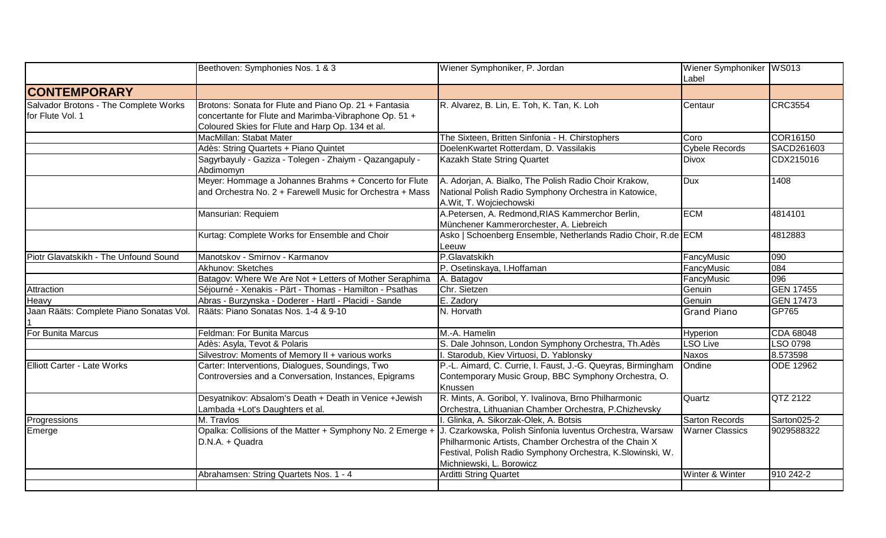|                                                           | Beethoven: Symphonies Nos. 1 & 3                                                                                                                                   | Wiener Symphoniker, P. Jordan                                                                                                                                                                                 | Wiener Symphoniker WS013<br>Label |                  |
|-----------------------------------------------------------|--------------------------------------------------------------------------------------------------------------------------------------------------------------------|---------------------------------------------------------------------------------------------------------------------------------------------------------------------------------------------------------------|-----------------------------------|------------------|
| <b>CONTEMPORARY</b>                                       |                                                                                                                                                                    |                                                                                                                                                                                                               |                                   |                  |
| Salvador Brotons - The Complete Works<br>for Flute Vol. 1 | Brotons: Sonata for Flute and Piano Op. 21 + Fantasia<br>concertante for Flute and Marimba-Vibraphone Op. 51 +<br>Coloured Skies for Flute and Harp Op. 134 et al. | R. Alvarez, B. Lin, E. Toh, K. Tan, K. Loh                                                                                                                                                                    | Centaur                           | <b>CRC3554</b>   |
|                                                           | MacMillan: Stabat Mater                                                                                                                                            | The Sixteen, Britten Sinfonia - H. Chirstophers                                                                                                                                                               | Coro                              | COR16150         |
|                                                           | Adès: String Quartets + Piano Quintet                                                                                                                              | DoelenKwartet Rotterdam, D. Vassilakis                                                                                                                                                                        | <b>Cybele Records</b>             | SACD261603       |
|                                                           | Sagyrbayuly - Gaziza - Tolegen - Zhaiym - Qazangapuly -<br>Abdimomyn                                                                                               | Kazakh State String Quartet                                                                                                                                                                                   | <b>Divox</b>                      | CDX215016        |
|                                                           | Meyer: Hommage a Johannes Brahms + Concerto for Flute<br>and Orchestra No. 2 + Farewell Music for Orchestra + Mass                                                 | A. Adorjan, A. Bialko, The Polish Radio Choir Krakow,<br>National Polish Radio Symphony Orchestra in Katowice,<br>A.Wit, T. Wojciechowski                                                                     | <b>Dux</b>                        | 1408             |
|                                                           | Mansurian: Requiem                                                                                                                                                 | A.Petersen, A. Redmond, RIAS Kammerchor Berlin,<br>Münchener Kammerorchester, A. Liebreich                                                                                                                    | <b>ECM</b>                        | 4814101          |
|                                                           | Kurtag: Complete Works for Ensemble and Choir                                                                                                                      | Asko   Schoenberg Ensemble, Netherlands Radio Choir, R.de ECM<br>Leeuw                                                                                                                                        |                                   | 4812883          |
| Piotr Glavatskikh - The Unfound Sound                     | Manotskov - Smirnov - Karmanov                                                                                                                                     | P.Glavatskikh                                                                                                                                                                                                 | FancyMusic                        | 090              |
|                                                           | Akhunov: Sketches                                                                                                                                                  | P. Osetinskaya, I. Hoffaman                                                                                                                                                                                   | FancyMusic                        | 084              |
|                                                           | Batagov: Where We Are Not + Letters of Mother Seraphima                                                                                                            | A. Batagov                                                                                                                                                                                                    | FancyMusic                        | 096              |
| Attraction                                                | Séjourné - Xenakis - Pärt - Thomas - Hamilton - Psathas                                                                                                            | Chr. Sietzen                                                                                                                                                                                                  | Genuin                            | <b>GEN 17455</b> |
| Heavy                                                     | Abras - Burzynska - Doderer - Hartl - Placidi - Sande                                                                                                              | E. Zadory                                                                                                                                                                                                     | Genuin                            | <b>GEN 17473</b> |
| Jaan Rääts: Complete Piano Sonatas Vol.                   | Rääts: Piano Sonatas Nos. 1-4 & 9-10                                                                                                                               | N. Horvath                                                                                                                                                                                                    | <b>Grand Piano</b>                | GP765            |
| For Bunita Marcus                                         | Feldman: For Bunita Marcus                                                                                                                                         | M.-A. Hamelin                                                                                                                                                                                                 | Hyperion                          | CDA 68048        |
|                                                           | Adès: Asyla, Tevot & Polaris                                                                                                                                       | S. Dale Johnson, London Symphony Orchestra, Th.Adès                                                                                                                                                           | <b>LSO Live</b>                   | <b>LSO 0798</b>  |
|                                                           | Silvestrov: Moments of Memory II + various works                                                                                                                   | I. Starodub, Kiev Virtuosi, D. Yablonsky                                                                                                                                                                      | <b>Naxos</b>                      | 8.573598         |
| <b>Elliott Carter - Late Works</b>                        | Carter: Interventions, Dialogues, Soundings, Two<br>Controversies and a Conversation, Instances, Epigrams                                                          | P.-L. Aimard, C. Currie, I. Faust, J.-G. Queyras, Birmingham<br>Contemporary Music Group, BBC Symphony Orchestra, O.<br>Knussen                                                                               | Ondine                            | <b>ODE 12962</b> |
|                                                           | Desyatnikov: Absalom's Death + Death in Venice + Jewish<br>Lambada +Lot's Daughters et al.                                                                         | R. Mints, A. Goribol, Y. Ivalinova, Brno Philharmonic<br>Orchestra, Lithuanian Chamber Orchestra, P.Chizhevsky                                                                                                | Quartz                            | QTZ 2122         |
| Progressions                                              | M. Travlos                                                                                                                                                         | I. Glinka, A. Sikorzak-Olek, A. Botsis                                                                                                                                                                        | <b>Sarton Records</b>             | Sarton025-2      |
| Emerge                                                    | Opalka: Collisions of the Matter + Symphony No. 2 Emerge +<br>D.N.A. + Quadra                                                                                      | J. Czarkowska, Polish Sinfonia Iuventus Orchestra, Warsaw<br>Philharmonic Artists, Chamber Orchestra of the Chain X<br>Festival, Polish Radio Symphony Orchestra, K.Slowinski, W.<br>Michniewski, L. Borowicz | <b>Warner Classics</b>            | 9029588322       |
|                                                           | Abrahamsen: String Quartets Nos. 1 - 4                                                                                                                             | <b>Arditti String Quartet</b>                                                                                                                                                                                 | Winter & Winter                   | 910 242-2        |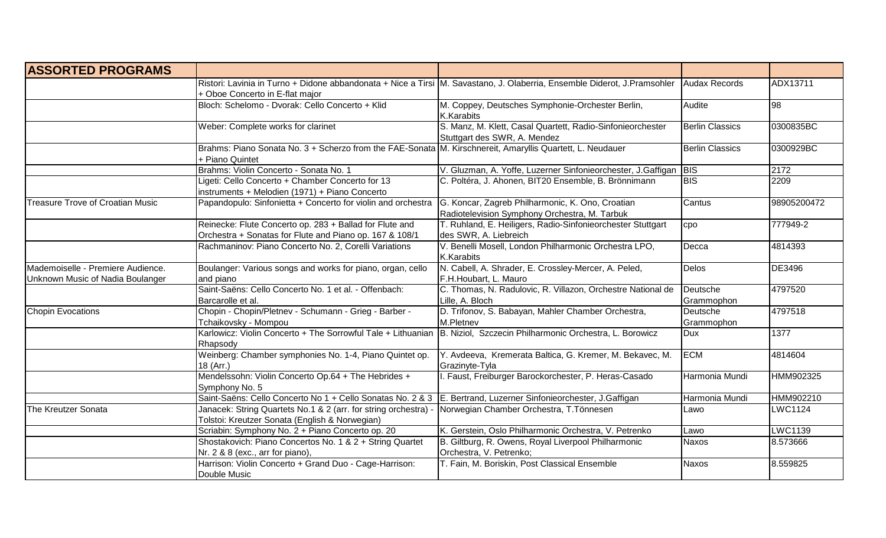| <b>ASSORTED PROGRAMS</b>                                              |                                                                                                                                    |                                                                                                                          |                        |                |
|-----------------------------------------------------------------------|------------------------------------------------------------------------------------------------------------------------------------|--------------------------------------------------------------------------------------------------------------------------|------------------------|----------------|
|                                                                       | + Oboe Concerto in E-flat major                                                                                                    | Ristori: Lavinia in Turno + Didone abbandonata + Nice a Tirsi M. Savastano, J. Olaberria, Ensemble Diderot, J.Pramsohler | Audax Records          | ADX13711       |
|                                                                       | Bloch: Schelomo - Dvorak: Cello Concerto + Klid                                                                                    | M. Coppey, Deutsches Symphonie-Orchester Berlin,<br>K.Karabits                                                           | Audite                 | 98             |
|                                                                       | Weber: Complete works for clarinet                                                                                                 | S. Manz, M. Klett, Casal Quartett, Radio-Sinfonieorchester<br>Stuttgart des SWR, A. Mendez                               | <b>Berlin Classics</b> | 0300835BC      |
|                                                                       | Brahms: Piano Sonata No. 3 + Scherzo from the FAE-Sonata M. Kirschnereit, Amaryllis Quartett, L. Neudauer<br>+ Piano Quintet       |                                                                                                                          | <b>Berlin Classics</b> | 0300929BC      |
|                                                                       | Brahms: Violin Concerto - Sonata No. 1                                                                                             | V. Gluzman, A. Yoffe, Luzerner Sinfonieorchester, J.Gaffigan   BIS                                                       |                        | 2172           |
|                                                                       | Ligeti: Cello Concerto + Chamber Concerto for 13<br>instruments + Melodien (1971) + Piano Concerto                                 | C. Poltéra, J. Ahonen, BIT20 Ensemble, B. Brönnimann                                                                     | <b>BIS</b>             | 2209           |
| <b>Treasure Trove of Croatian Music</b>                               | Papandopulo: Sinfonietta + Concerto for violin and orchestra                                                                       | G. Koncar, Zagreb Philharmonic, K. Ono, Croatian<br>Radiotelevision Symphony Orchestra, M. Tarbuk                        | Cantus                 | 98905200472    |
|                                                                       | Reinecke: Flute Concerto op. 283 + Ballad for Flute and<br>Orchestra + Sonatas for Flute and Piano op. 167 & 108/1                 | T. Ruhland, E. Heiligers, Radio-Sinfonieorchester Stuttgart<br>des SWR, A. Liebreich                                     | cpo                    | 777949-2       |
|                                                                       | Rachmaninov: Piano Concerto No. 2, Corelli Variations                                                                              | V. Benelli Mosell, London Philharmonic Orchestra LPO,<br>K.Karabits                                                      | Decca                  | 4814393        |
| Mademoiselle - Premiere Audience.<br>Unknown Music of Nadia Boulanger | Boulanger: Various songs and works for piano, organ, cello<br>and piano                                                            | N. Cabell, A. Shrader, E. Crossley-Mercer, A. Peled,<br>F.H.Houbart, L. Mauro                                            | <b>Delos</b>           | DE3496         |
|                                                                       | Saint-Saëns: Cello Concerto No. 1 et al. - Offenbach:<br>Barcarolle et al.                                                         | C. Thomas, N. Radulovic, R. Villazon, Orchestre National de<br>Lille, A. Bloch                                           | Deutsche<br>Grammophon | 4797520        |
| <b>Chopin Evocations</b>                                              | Chopin - Chopin/Pletnev - Schumann - Grieg - Barber -<br>Tchaikovsky - Mompou                                                      | D. Trifonov, S. Babayan, Mahler Chamber Orchestra,<br>M.Pletnev                                                          | Deutsche<br>Grammophon | 4797518        |
|                                                                       | Karlowicz: Violin Concerto + The Sorrowful Tale + Lithuanian   B. Niziol, Szczecin Philharmonic Orchestra, L. Borowicz<br>Rhapsody |                                                                                                                          | <b>Dux</b>             | 1377           |
|                                                                       | Weinberg: Chamber symphonies No. 1-4, Piano Quintet op.<br>18 (Arr.)                                                               | Y. Avdeeva, Kremerata Baltica, G. Kremer, M. Bekavec, M.<br>Grazinyte-Tyla                                               | <b>ECM</b>             | 4814604        |
|                                                                       | Mendelssohn: Violin Concerto Op.64 + The Hebrides +<br>Symphony No. 5                                                              | I. Faust, Freiburger Barockorchester, P. Heras-Casado                                                                    | Harmonia Mundi         | HMM902325      |
|                                                                       | Saint-Saëns: Cello Concerto No 1 + Cello Sonatas No. 2 & 3 E. Bertrand, Luzerner Sinfonieorchester, J.Gaffigan                     |                                                                                                                          | Harmonia Mundi         | HMM902210      |
| The Kreutzer Sonata                                                   | Janacek: String Quartets No.1 & 2 (arr. for string orchestra) -<br>Tolstoi: Kreutzer Sonata (English & Norwegian)                  | Norwegian Chamber Orchestra, T.Tönnesen                                                                                  | Lawo                   | <b>LWC1124</b> |
|                                                                       | Scriabin: Symphony No. 2 + Piano Concerto op. 20                                                                                   | K. Gerstein, Oslo Philharmonic Orchestra, V. Petrenko                                                                    | Lawo                   | <b>LWC1139</b> |
|                                                                       | Shostakovich: Piano Concertos No. 1 & 2 + String Quartet<br>Nr. 2 & 8 (exc., arr for piano),                                       | B. Giltburg, R. Owens, Royal Liverpool Philharmonic<br>Orchestra, V. Petrenko;                                           | Naxos                  | 8.573666       |
|                                                                       | Harrison: Violin Concerto + Grand Duo - Cage-Harrison:<br>Double Music                                                             | T. Fain, M. Boriskin, Post Classical Ensemble                                                                            | <b>Naxos</b>           | 8.559825       |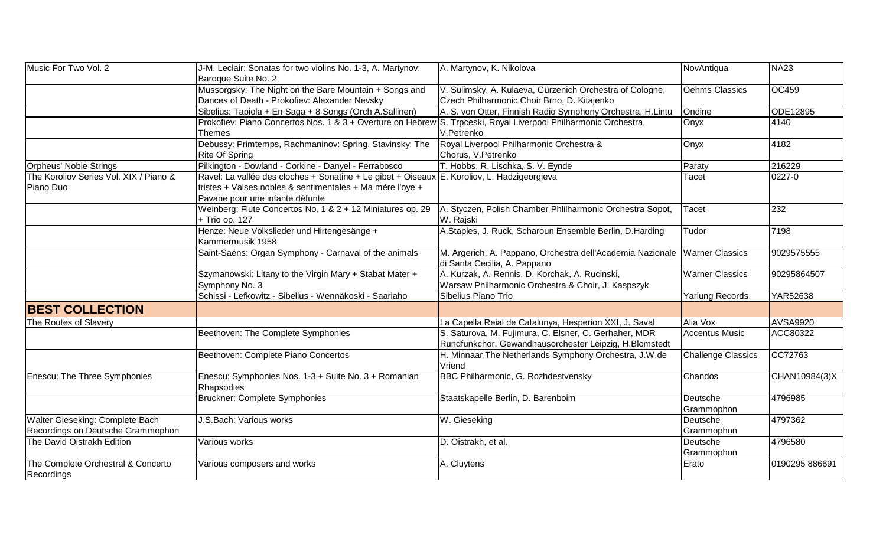| Music For Two Vol. 2                                                 | J-M. Leclair: Sonatas for two violins No. 1-3, A. Martynov:<br>Baroque Suite No. 2                                                                                                          | A. Martynov, K. Nikolova                                                                                        | NovAntiqua                | <b>NA23</b>     |
|----------------------------------------------------------------------|---------------------------------------------------------------------------------------------------------------------------------------------------------------------------------------------|-----------------------------------------------------------------------------------------------------------------|---------------------------|-----------------|
|                                                                      | Mussorgsky: The Night on the Bare Mountain + Songs and<br>Dances of Death - Prokofiev: Alexander Nevsky                                                                                     | V. Sulimsky, A. Kulaeva, Gürzenich Orchestra of Cologne,<br>Czech Philharmonic Choir Brno, D. Kitajenko         | Oehms Classics            | <b>OC459</b>    |
|                                                                      | Sibelius: Tapiola + En Saga + 8 Songs (Orch A.Sallinen)                                                                                                                                     | A. S. von Otter, Finnish Radio Symphony Orchestra, H.Lintu                                                      | Ondine                    | ODE12895        |
|                                                                      | Prokofiev: Piano Concertos Nos. 1 & 3 + Overture on Hebrew S. Trpceski, Royal Liverpool Philharmonic Orchestra,<br><b>Themes</b>                                                            | V.Petrenko                                                                                                      | Onyx                      | 4140            |
|                                                                      | Debussy: Primtemps, Rachmaninov: Spring, Stavinsky: The<br><b>Rite Of Spring</b>                                                                                                            | Royal Liverpool Philharmonic Orchestra &<br>Chorus, V.Petrenko                                                  | Onyx                      | 4182            |
| Orpheus' Noble Strings                                               | Pilkington - Dowland - Corkine - Danyel - Ferrabosco                                                                                                                                        | T. Hobbs, R. Lischka, S. V. Eynde                                                                               | Paraty                    | 216229          |
| The Koroliov Series Vol. XIX / Piano &<br>Piano Duo                  | Ravel: La vallée des cloches + Sonatine + Le gibet + Oiseaux E. Koroliov, L. Hadzigeorgieva<br>tristes + Valses nobles & sentimentales + Ma mère l'oye +<br>Pavane pour une infante défunte |                                                                                                                 | Tacet                     | 0227-0          |
|                                                                      | Weinberg: Flute Concertos No. 1 & 2 + 12 Miniatures op. 29<br>+ Trio op. 127                                                                                                                | A. Styczen, Polish Chamber Phlilharmonic Orchestra Sopot,<br>W. Rajski                                          | Tacet                     | 232             |
|                                                                      | Henze: Neue Volkslieder und Hirtengesänge +<br>Kammermusik 1958                                                                                                                             | A.Staples, J. Ruck, Scharoun Ensemble Berlin, D.Harding                                                         | Tudor                     | 7198            |
|                                                                      | Saint-Saëns: Organ Symphony - Carnaval of the animals                                                                                                                                       | M. Argerich, A. Pappano, Orchestra dell'Academia Nazionale Warner Classics<br>di Santa Cecilia, A. Pappano      |                           | 9029575555      |
|                                                                      | Szymanowski: Litany to the Virgin Mary + Stabat Mater +<br>Symphony No. 3                                                                                                                   | A. Kurzak, A. Rennis, D. Korchak, A. Rucinski,<br>Warsaw Philharmonic Orchestra & Choir, J. Kaspszyk            | <b>Warner Classics</b>    | 90295864507     |
|                                                                      | Schissi - Lefkowitz - Sibelius - Wennäkoski - Saariaho                                                                                                                                      | Sibelius Piano Trio                                                                                             | <b>Yarlung Records</b>    | <b>YAR52638</b> |
| <b>BEST COLLECTION</b>                                               |                                                                                                                                                                                             |                                                                                                                 |                           |                 |
| The Routes of Slavery                                                |                                                                                                                                                                                             | La Capella Reial de Catalunya, Hesperion XXI, J. Saval                                                          | Alia Vox                  | <b>AVSA9920</b> |
|                                                                      | Beethoven: The Complete Symphonies                                                                                                                                                          | S. Saturova, M. Fujimura, C. Elsner, C. Gerhaher, MDR<br>Rundfunkchor, Gewandhausorchester Leipzig, H.Blomstedt | <b>Accentus Music</b>     | ACC80322        |
|                                                                      | Beethoven: Complete Piano Concertos                                                                                                                                                         | H. Minnaar, The Netherlands Symphony Orchestra, J.W.de<br>Vriend                                                | <b>Challenge Classics</b> | CC72763         |
| Enescu: The Three Symphonies                                         | Enescu: Symphonies Nos. 1-3 + Suite No. 3 + Romanian<br>Rhapsodies                                                                                                                          | BBC Philharmonic, G. Rozhdestvensky                                                                             | Chandos                   | CHAN10984(3)X   |
|                                                                      | <b>Bruckner: Complete Symphonies</b>                                                                                                                                                        | Staatskapelle Berlin, D. Barenboim                                                                              | Deutsche<br>Grammophon    | 4796985         |
| Walter Gieseking: Complete Bach<br>Recordings on Deutsche Grammophon | J.S.Bach: Various works                                                                                                                                                                     | W. Gieseking                                                                                                    | Deutsche<br>Grammophon    | 4797362         |
| The David Oistrakh Edition                                           | Various works                                                                                                                                                                               | D. Oistrakh, et al.                                                                                             | Deutsche<br>Grammophon    | 4796580         |
| The Complete Orchestral & Concerto<br>Recordings                     | Various composers and works                                                                                                                                                                 | A. Cluytens                                                                                                     | Erato                     | 0190295 886691  |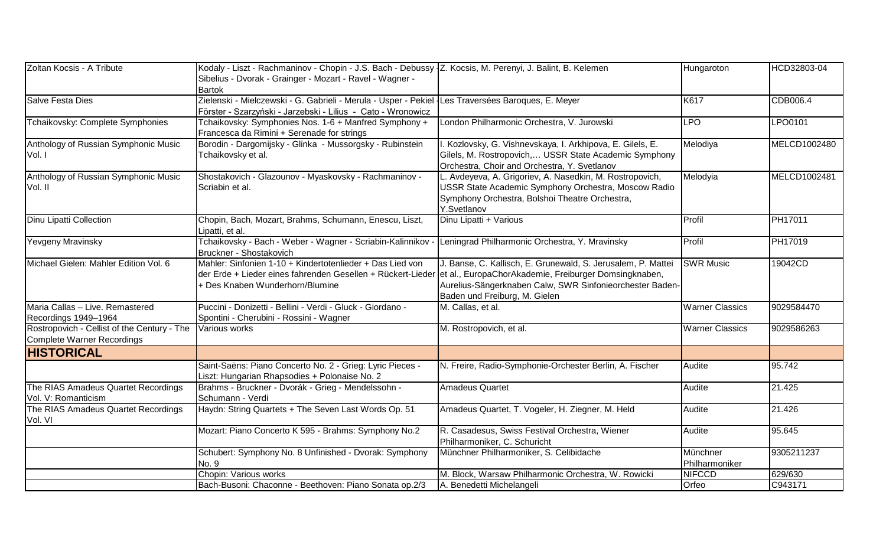| Zoltan Kocsis - A Tribute                   | Kodaly - Liszt - Rachmaninov - Chopin - J.S. Bach - Debussy Z. Kocsis, M. Perenyi, J. Balint, B. Kelemen           |                                                              | Hungaroton             | HCD32803-04  |
|---------------------------------------------|--------------------------------------------------------------------------------------------------------------------|--------------------------------------------------------------|------------------------|--------------|
|                                             | Sibelius - Dvorak - Grainger - Mozart - Ravel - Wagner -                                                           |                                                              |                        |              |
|                                             | Bartok                                                                                                             |                                                              |                        |              |
| <b>Salve Festa Dies</b>                     | Zielenski - Mielczewski - G. Gabrieli - Merula - Usper - Pekiel   Les Traversées Baroques, E. Meyer                |                                                              | K617                   | CDB006.4     |
|                                             | Förster - Szarzyński - Jarzebski - Lilius - Cato - Wronowicz                                                       |                                                              |                        |              |
| Tchaikovsky: Complete Symphonies            | Tchaikovsky: Symphonies Nos. 1-6 + Manfred Symphony +                                                              | London Philharmonic Orchestra, V. Jurowski                   | <b>LPO</b>             | LPO0101      |
|                                             | Francesca da Rimini + Serenade for strings                                                                         |                                                              |                        |              |
| Anthology of Russian Symphonic Music        | Borodin - Dargomijsky - Glinka - Mussorgsky - Rubinstein                                                           | I. Kozlovsky, G. Vishnevskaya, I. Arkhipova, E. Gilels, E.   | Melodiya               | MELCD1002480 |
| Vol. I                                      | Tchaikovsky et al.                                                                                                 | Gilels, M. Rostropovich, USSR State Academic Symphony        |                        |              |
|                                             |                                                                                                                    | Orchestra, Choir and Orchestra, Y. Svetlanov                 |                        |              |
| Anthology of Russian Symphonic Music        | Shostakovich - Glazounov - Myaskovsky - Rachmaninov -                                                              | L. Avdeyeva, A. Grigoriev, A. Nasedkin, M. Rostropovich,     | Melodyia               | MELCD1002481 |
| Vol. II                                     | Scriabin et al.                                                                                                    | USSR State Academic Symphony Orchestra, Moscow Radio         |                        |              |
|                                             |                                                                                                                    | Symphony Orchestra, Bolshoi Theatre Orchestra,               |                        |              |
|                                             |                                                                                                                    | Y.Svetlanov                                                  |                        |              |
| <b>Dinu Lipatti Collection</b>              | Chopin, Bach, Mozart, Brahms, Schumann, Enescu, Liszt,                                                             | Dinu Lipatti + Various                                       | Profil                 | PH17011      |
|                                             | Lipatti, et al.                                                                                                    |                                                              |                        |              |
| Yevgeny Mravinsky                           | Tchaikovsky - Bach - Weber - Wagner - Scriabin-Kalinnikov -                                                        | Leningrad Philharmonic Orchestra, Y. Mravinsky               | Profil                 | PH17019      |
|                                             | Bruckner - Shostakovich                                                                                            |                                                              |                        |              |
| Michael Gielen: Mahler Edition Vol. 6       | Mahler: Sinfonien 1-10 + Kindertotenlieder + Das Lied von                                                          | J. Banse, C. Kallisch, E. Grunewald, S. Jerusalem, P. Mattei | <b>SWR Music</b>       | 19042CD      |
|                                             | der Erde + Lieder eines fahrenden Gesellen + Rückert-Lieder ett al., EuropaChorAkademie, Freiburger Domsingknaben, |                                                              |                        |              |
|                                             | + Des Knaben Wunderhorn/Blumine                                                                                    | Aurelius-Sängerknaben Calw, SWR Sinfonieorchester Baden-     |                        |              |
|                                             |                                                                                                                    | Baden und Freiburg, M. Gielen                                |                        |              |
| Maria Callas - Live. Remastered             | Puccini - Donizetti - Bellini - Verdi - Gluck - Giordano -                                                         | M. Callas, et al.                                            | <b>Warner Classics</b> | 9029584470   |
| Recordings 1949-1964                        | Spontini - Cherubini - Rossini - Wagner                                                                            |                                                              |                        |              |
| Rostropovich - Cellist of the Century - The | Various works                                                                                                      | M. Rostropovich, et al.                                      | <b>Warner Classics</b> | 9029586263   |
| Complete Warner Recordings                  |                                                                                                                    |                                                              |                        |              |
| <b>HISTORICAL</b>                           |                                                                                                                    |                                                              |                        |              |
|                                             | Saint-Saëns: Piano Concerto No. 2 - Grieg: Lyric Pieces -                                                          | N. Freire, Radio-Symphonie-Orchester Berlin, A. Fischer      | Audite                 | 95.742       |
|                                             | Liszt: Hungarian Rhapsodies + Polonaise No. 2                                                                      |                                                              |                        |              |
| The RIAS Amadeus Quartet Recordings         | Brahms - Bruckner - Dvorák - Grieg - Mendelssohn -                                                                 | <b>Amadeus Quartet</b>                                       | Audite                 | 21.425       |
| Vol. V: Romanticism                         | Schumann - Verdi                                                                                                   |                                                              |                        |              |
| The RIAS Amadeus Quartet Recordings         | Haydn: String Quartets + The Seven Last Words Op. 51                                                               | Amadeus Quartet, T. Vogeler, H. Ziegner, M. Held             | Audite                 | 21.426       |
| Vol. VI                                     |                                                                                                                    |                                                              |                        |              |
|                                             | Mozart: Piano Concerto K 595 - Brahms: Symphony No.2                                                               | R. Casadesus, Swiss Festival Orchestra, Wiener               | Audite                 | 95.645       |
|                                             |                                                                                                                    | Philharmoniker, C. Schuricht                                 |                        |              |
|                                             | Schubert: Symphony No. 8 Unfinished - Dvorak: Symphony                                                             | Münchner Philharmoniker, S. Celibidache                      | Münchner               | 9305211237   |
|                                             | No. 9                                                                                                              |                                                              | Philharmoniker         |              |
|                                             | Chopin: Various works                                                                                              | M. Block, Warsaw Philharmonic Orchestra, W. Rowicki          | <b>NIFCCD</b>          | 629/630      |
|                                             | Bach-Busoni: Chaconne - Beethoven: Piano Sonata op.2/3                                                             | A. Benedetti Michelangeli                                    | Orfeo                  | C943171      |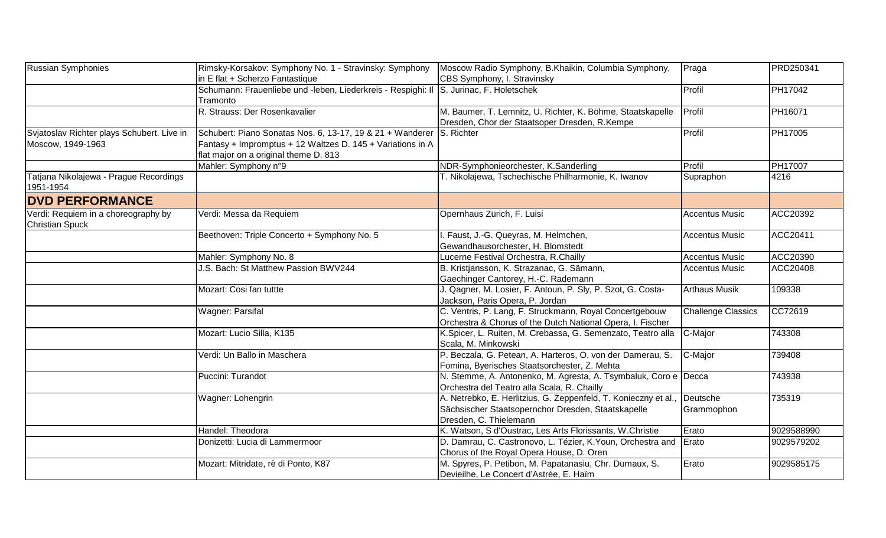| Russian Symphonies                                              | Rimsky-Korsakov: Symphony No. 1 - Stravinsky: Symphony<br>in E flat + Scherzo Fantastique                                                                                   | Moscow Radio Symphony, B.Khaikin, Columbia Symphony,<br>CBS Symphony, I. Stravinsky                                                            | Praga                     | <b>PRD250341</b> |
|-----------------------------------------------------------------|-----------------------------------------------------------------------------------------------------------------------------------------------------------------------------|------------------------------------------------------------------------------------------------------------------------------------------------|---------------------------|------------------|
|                                                                 | Schumann: Frauenliebe und -leben, Liederkreis - Respighi: II S. Jurinac, F. Holetschek<br>Tramonto                                                                          |                                                                                                                                                | Profil                    | <b>PH17042</b>   |
|                                                                 | R. Strauss: Der Rosenkavalier                                                                                                                                               | M. Baumer, T. Lemnitz, U. Richter, K. Böhme, Staatskapelle<br>Dresden, Chor der Staatsoper Dresden, R.Kempe                                    | <b>Profil</b>             | PH16071          |
| Svjatoslav Richter plays Schubert. Live in<br>Moscow, 1949-1963 | Schubert: Piano Sonatas Nos. 6, 13-17, 19 & 21 + Wanderer S. Richter<br>Fantasy + Impromptus + 12 Waltzes D. 145 + Variations in A<br>flat major on a original theme D. 813 |                                                                                                                                                | Profil                    | PH17005          |
|                                                                 | Mahler: Symphony n°9                                                                                                                                                        | NDR-Symphonieorchester, K.Sanderling                                                                                                           | Profil                    | <b>PH17007</b>   |
| Tatjana Nikolajewa - Prague Recordings<br>1951-1954             |                                                                                                                                                                             | T. Nikolajewa, Tschechische Philharmonie, K. Iwanov                                                                                            | Supraphon                 | 4216             |
| <b>DVD PERFORMANCE</b>                                          |                                                                                                                                                                             |                                                                                                                                                |                           |                  |
| Verdi: Requiem in a choreography by<br><b>Christian Spuck</b>   | Verdi: Messa da Requiem                                                                                                                                                     | Opernhaus Zürich, F. Luisi                                                                                                                     | <b>Accentus Music</b>     | ACC20392         |
|                                                                 | Beethoven: Triple Concerto + Symphony No. 5                                                                                                                                 | I. Faust, J.-G. Queyras, M. Helmchen,<br>Gewandhausorchester, H. Blomstedt                                                                     | <b>Accentus Music</b>     | ACC20411         |
|                                                                 | Mahler: Symphony No. 8                                                                                                                                                      | Lucerne Festival Orchestra, R.Chailly                                                                                                          | <b>Accentus Music</b>     | ACC20390         |
|                                                                 | J.S. Bach: St Matthew Passion BWV244                                                                                                                                        | B. Kristjansson, K. Strazanac, G. Sämann,                                                                                                      | <b>Accentus Music</b>     | ACC20408         |
|                                                                 |                                                                                                                                                                             | Gaechinger Cantorey, H.-C. Rademann                                                                                                            |                           |                  |
|                                                                 | Mozart: Cosi fan tuttte                                                                                                                                                     | J. Qagner, M. Losier, F. Antoun, P. Sly, P. Szot, G. Costa-<br>Jackson, Paris Opera, P. Jordan                                                 | <b>Arthaus Musik</b>      | 109338           |
|                                                                 | <b>Wagner: Parsifal</b>                                                                                                                                                     | C. Ventris, P. Lang, F. Struckmann, Royal Concertgebouw<br>Orchestra & Chorus of the Dutch National Opera, I. Fischer                          | <b>Challenge Classics</b> | CC72619          |
|                                                                 | Mozart: Lucio Silla, K135                                                                                                                                                   | K.Spicer, L. Ruiten, M. Crebassa, G. Semenzato, Teatro alla<br>Scala, M. Minkowski                                                             | C-Major                   | 743308           |
|                                                                 | Verdi: Un Ballo in Maschera                                                                                                                                                 | P. Beczala, G. Petean, A. Harteros, O. von der Damerau, S.<br>Fomina, Byerisches Staatsorchester, Z. Mehta                                     | C-Major                   | 739408           |
|                                                                 | Puccini: Turandot                                                                                                                                                           | N. Stemme, A. Antonenko, M. Agresta, A. Tsymbaluk, Coro e Decca<br>Orchestra del Teatro alla Scala, R. Chailly                                 |                           | 743938           |
|                                                                 | Wagner: Lohengrin                                                                                                                                                           | A. Netrebko, E. Herlitzius, G. Zeppenfeld, T. Konieczny et al.<br>Sächsischer Staatsopernchor Dresden, Staatskapelle<br>Dresden, C. Thielemann | Deutsche<br>Grammophon    | 735319           |
|                                                                 | Handel: Theodora                                                                                                                                                            | K. Watson, S d'Oustrac, Les Arts Florissants, W.Christie                                                                                       | Erato                     | 9029588990       |
|                                                                 | Donizetti: Lucia di Lammermoor                                                                                                                                              | D. Damrau, C. Castronovo, L. Tézier, K. Youn, Orchestra and<br>Chorus of the Royal Opera House, D. Oren                                        | Erato                     | 9029579202       |
|                                                                 | Mozart: Mitridate, rè di Ponto, K87                                                                                                                                         | M. Spyres, P. Petibon, M. Papatanasiu, Chr. Dumaux, S.<br>Devieilhe, Le Concert d'Astrée, E. Haïm                                              | Erato                     | 9029585175       |